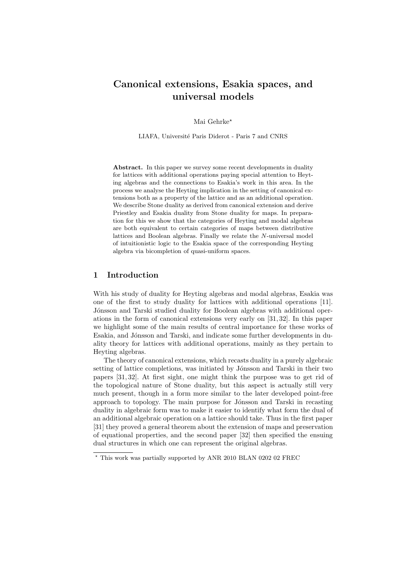# Canonical extensions, Esakia spaces, and universal models

Mai Gehrke\*

LIAFA, Université Paris Diderot - Paris 7 and CNRS

Abstract. In this paper we survey some recent developments in duality for lattices with additional operations paying special attention to Heyting algebras and the connections to Esakia's work in this area. In the process we analyse the Heyting implication in the setting of canonical extensions both as a property of the lattice and as an additional operation. We describe Stone duality as derived from canonical extension and derive Priestley and Esakia duality from Stone duality for maps. In preparation for this we show that the categories of Heyting and modal algebras are both equivalent to certain categories of maps between distributive lattices and Boolean algebras. Finally we relate the N-universal model of intuitionistic logic to the Esakia space of the corresponding Heyting algebra via bicompletion of quasi-uniform spaces.

#### 1 Introduction

With his study of duality for Heyting algebras and modal algebras, Esakia was one of the first to study duality for lattices with additional operations [11]. Jónsson and Tarski studied duality for Boolean algebras with additional operations in the form of canonical extensions very early on [31, 32]. In this paper we highlight some of the main results of central importance for these works of Esakia, and Jónsson and Tarski, and indicate some further developments in duality theory for lattices with additional operations, mainly as they pertain to Heyting algebras.

The theory of canonical extensions, which recasts duality in a purely algebraic setting of lattice completions, was initiated by Jónsson and Tarski in their two papers [31, 32]. At first sight, one might think the purpose was to get rid of the topological nature of Stone duality, but this aspect is actually still very much present, though in a form more similar to the later developed point-free approach to topology. The main purpose for Jónsson and Tarski in recasting duality in algebraic form was to make it easier to identify what form the dual of an additional algebraic operation on a lattice should take. Thus in the first paper [31] they proved a general theorem about the extension of maps and preservation of equational properties, and the second paper [32] then specified the ensuing dual structures in which one can represent the original algebras.

<sup>⋆</sup> This work was partially supported by ANR 2010 BLAN 0202 02 FREC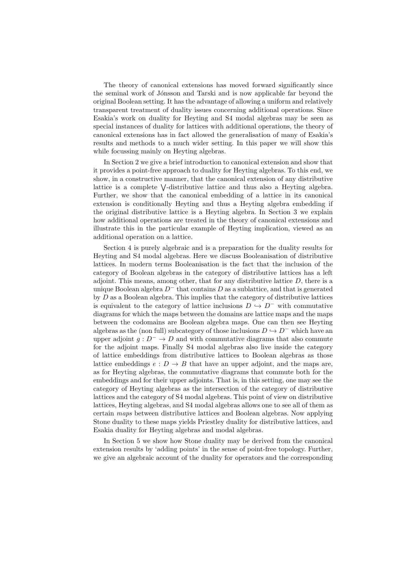The theory of canonical extensions has moved forward significantly since the seminal work of Jónsson and Tarski and is now applicable far beyond the original Boolean setting. It has the advantage of allowing a uniform and relatively transparent treatment of duality issues concerning additional operations. Since Esakia's work on duality for Heyting and S4 modal algebras may be seen as special instances of duality for lattices with additional operations, the theory of canonical extensions has in fact allowed the generalisation of many of Esakia's results and methods to a much wider setting. In this paper we will show this while focussing mainly on Heyting algebras.

In Section 2 we give a brief introduction to canonical extension and show that it provides a point-free approach to duality for Heyting algebras. To this end, we show, in a constructive manner, that the canonical extension of any distributive lattice is a complete W -distributive lattice and thus also a Heyting algebra. Further, we show that the canonical embedding of a lattice in its canonical extension is conditionally Heyting and thus a Heyting algebra embedding if the original distributive lattice is a Heyting algebra. In Section 3 we explain how additional operations are treated in the theory of canonical extensions and illustrate this in the particular example of Heyting implication, viewed as an additional operation on a lattice.

Section 4 is purely algebraic and is a preparation for the duality results for Heyting and S4 modal algebras. Here we discuss Booleanisation of distributive lattices. In modern terms Booleanisation is the fact that the inclusion of the category of Boolean algebras in the category of distributive lattices has a left adjoint. This means, among other, that for any distributive lattice  $D$ , there is a unique Boolean algebra  $D^-$  that contains D as a sublattice, and that is generated by  $D$  as a Boolean algebra. This implies that the category of distributive lattices is equivalent to the category of lattice inclusions  $D \hookrightarrow D^-$  with commutative diagrams for which the maps between the domains are lattice maps and the maps between the codomains are Boolean algebra maps. One can then see Heyting algebras as the (non full) subcategory of those inclusions  $D \hookrightarrow D^-$  which have an upper adjoint  $g: D^- \to D$  and with commutative diagrams that also commute for the adjoint maps. Finally S4 modal algebras also live inside the category of lattice embeddings from distributive lattices to Boolean algebras as those lattice embeddings  $e: D \to B$  that have an upper adjoint, and the maps are, as for Heyting algebras, the commutative diagrams that commute both for the embeddings and for their upper adjoints. That is, in this setting, one may see the category of Heyting algebras as the intersection of the category of distributive lattices and the category of S4 modal algebras. This point of view on distributive lattices, Heyting algebras, and S4 modal algebras allows one to see all of them as certain *maps* between distributive lattices and Boolean algebras. Now applying Stone duality to these maps yields Priestley duality for distributive lattices, and Esakia duality for Heyting algebras and modal algebras.

In Section 5 we show how Stone duality may be derived from the canonical extension results by 'adding points' in the sense of point-free topology. Further, we give an algebraic account of the duality for operators and the corresponding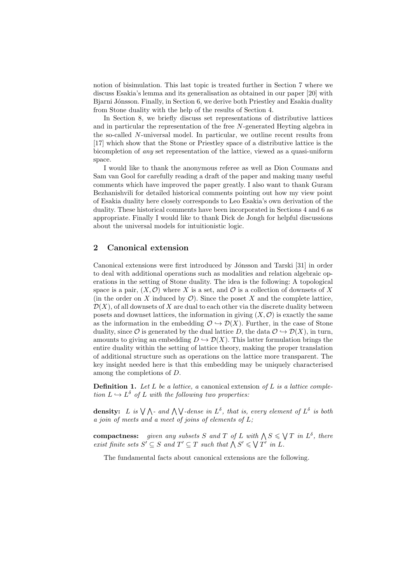notion of bisimulation. This last topic is treated further in Section 7 where we discuss Esakia's lemma and its generalisation as obtained in our paper [20] with Bjarni Jónsson. Finally, in Section 6, we derive both Priestley and Esakia duality from Stone duality with the help of the results of Section 4.

In Section 8, we briefly discuss set representations of distributive lattices and in particular the representation of the free N-generated Heyting algebra in the so-called N-universal model. In particular, we outline recent results from [17] which show that the Stone or Priestley space of a distributive lattice is the bicompletion of *any* set representation of the lattice, viewed as a quasi-uniform space.

I would like to thank the anonymous referee as well as Dion Coumans and Sam van Gool for carefully reading a draft of the paper and making many useful comments which have improved the paper greatly. I also want to thank Guram Bezhanishvili for detailed historical comments pointing out how my view point of Esakia duality here closely corresponds to Leo Esakia's own derivation of the duality. These historical comments have been incorporated in Sections 4 and 6 as appropriate. Finally I would like to thank Dick de Jongh for helpful discussions about the universal models for intuitionistic logic.

# 2 Canonical extension

Canonical extensions were first introduced by Jónsson and Tarski [31] in order to deal with additional operations such as modalities and relation algebraic operations in the setting of Stone duality. The idea is the following: A topological space is a pair,  $(X, \mathcal{O})$  where X is a set, and  $\mathcal{O}$  is a collection of downsets of X (in the order on X induced by  $\mathcal{O}$ ). Since the poset X and the complete lattice,  $\mathcal{D}(X)$ , of all downsets of X are dual to each other via the discrete duality between posets and downset lattices, the information in giving  $(X, \mathcal{O})$  is exactly the same as the information in the embedding  $\mathcal{O} \hookrightarrow \mathcal{D}(X)$ . Further, in the case of Stone duality, since  $\mathcal O$  is generated by the dual lattice D, the data  $\mathcal O \hookrightarrow \mathcal D(X)$ , in turn, amounts to giving an embedding  $D \hookrightarrow \mathcal{D}(X)$ . This latter formulation brings the entire duality within the setting of lattice theory, making the proper translation of additional structure such as operations on the lattice more transparent. The key insight needed here is that this embedding may be uniquely characterised among the completions of D.

Definition 1. *Let* L *be a lattice, a* canonical extension *of* L *is a lattice completion*  $L \hookrightarrow L^{\delta}$  *of*  $L$  *with the following two properties:* 

density: L is  $\bigvee \bigwedge$ - and  $\bigwedge \bigvee$ -dense in  $L^{\delta}$ , that is, every element of  $L^{\delta}$  is both *a join of meets and a meet of joins of elements of* L*;*

compactness: *given any subsets* S and T of L with  $\bigwedge S \leq \bigvee T$  in  $L^{\delta}$ , there *exist finite sets*  $S' \subseteq S$  *and*  $T' \subseteq T$  *such that*  $\bigwedge S' \leq \bigvee T'$  *in L*.

The fundamental facts about canonical extensions are the following.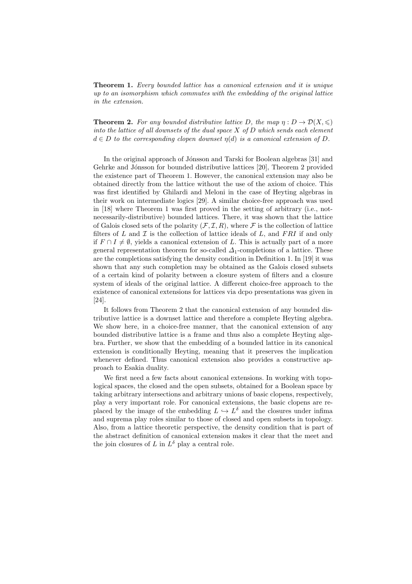Theorem 1. *Every bounded lattice has a canonical extension and it is unique up to an isomorphism which commutes with the embedding of the original lattice in the extension.*

**Theorem 2.** For any bounded distributive lattice D, the map  $\eta : D \to \mathcal{D}(X, \leqslant)$ *into the lattice of all downsets of the dual space* X *of* D *which sends each element*  $d \in D$  *to the corresponding clopen downset*  $\eta(d)$  *is a canonical extension of* D.

In the original approach of Jónsson and Tarski for Boolean algebras [31] and Gehrke and Jónsson for bounded distributive lattices [20], Theorem 2 provided the existence part of Theorem 1. However, the canonical extension may also be obtained directly from the lattice without the use of the axiom of choice. This was first identified by Ghilardi and Meloni in the case of Heyting algebras in their work on intermediate logics [29]. A similar choice-free approach was used in [18] where Theorem 1 was first proved in the setting of arbitrary (i.e., notnecessarily-distributive) bounded lattices. There, it was shown that the lattice of Galois closed sets of the polarity  $(\mathcal{F}, \mathcal{I}, R)$ , where  $\mathcal{F}$  is the collection of lattice filters of  $L$  and  $\mathcal I$  is the collection of lattice ideals of  $L$ , and  $FRI$  if and only if  $F \cap I \neq \emptyset$ , yields a canonical extension of L. This is actually part of a more general representation theorem for so-called  $\Delta_1$ -completions of a lattice. These are the completions satisfying the density condition in Definition 1. In [19] it was shown that any such completion may be obtained as the Galois closed subsets of a certain kind of polarity between a closure system of filters and a closure system of ideals of the original lattice. A different choice-free approach to the existence of canonical extensions for lattices via dcpo presentations was given in [24].

It follows from Theorem 2 that the canonical extension of any bounded distributive lattice is a downset lattice and therefore a complete Heyting algebra. We show here, in a choice-free manner, that the canonical extension of any bounded distributive lattice is a frame and thus also a complete Heyting algebra. Further, we show that the embedding of a bounded lattice in its canonical extension is conditionally Heyting, meaning that it preserves the implication whenever defined. Thus canonical extension also provides a constructive approach to Esakia duality.

We first need a few facts about canonical extensions. In working with topological spaces, the closed and the open subsets, obtained for a Boolean space by taking arbitrary intersections and arbitrary unions of basic clopens, respectively, play a very important role. For canonical extensions, the basic clopens are replaced by the image of the embedding  $L \hookrightarrow L^{\delta}$  and the closures under infima and suprema play roles similar to those of closed and open subsets in topology. Also, from a lattice theoretic perspective, the density condition that is part of the abstract definition of canonical extension makes it clear that the meet and the join closures of L in  $L^{\delta}$  play a central role.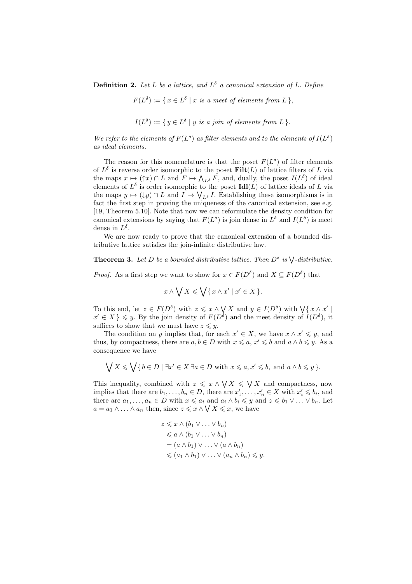Definition 2. *Let* L *be a lattice, and* L <sup>δ</sup> *a canonical extension of* L*. Define*

 $F(L^{\delta}) := \{ x \in L^{\delta} \mid x \text{ is a meet of elements from } L \},$ 

 $I(L^{\delta}) := \{ y \in L^{\delta} \mid y \text{ is a join of elements from } L \}.$ 

We refer to the elements of  $F(L^{\delta})$  as filter elements and to the elements of  $I(L^{\delta})$ *as ideal elements.*

The reason for this nomenclature is that the poset  $F(L^{\delta})$  of filter elements of  $L^{\delta}$  is reverse order isomorphic to the poset  $\textbf{Filt}(L)$  of lattice filters of L via the maps  $x \mapsto (\uparrow x) \cap L$  and  $F \mapsto \bigwedge_{L^{\delta}} F$ , and, dually, the poset  $I(L^{\delta})$  of ideal elements of  $L^{\delta}$  is order isomorphic to the poset  $\text{Idl}(L)$  of lattice ideals of L via the maps  $y \mapsto (\downarrow y) \cap L$  and  $I \mapsto \bigvee_{L^{\delta}} I$ . Establishing these isomorphisms is in fact the first step in proving the uniqueness of the canonical extension, see e.g. [19, Theorem 5.10]. Note that now we can reformulate the density condition for canonical extensions by saying that  $F(L^{\delta})$  is join dense in  $L^{\delta}$  and  $I(L^{\delta})$  is meet dense in  $L^{\delta}$ .

We are now ready to prove that the canonical extension of a bounded distributive lattice satisfies the join-infinite distributive law.

**Theorem 3.** Let D be a bounded distributive lattice. Then  $D^{\delta}$  is  $\bigvee$ -distributive.

*Proof.* As a first step we want to show for  $x \in F(D^{\delta})$  and  $X \subseteq F(D^{\delta})$  that

$$
x \wedge \bigvee X \leqslant \bigvee \{ x \wedge x' \mid x' \in X \}.
$$

To this end, let  $z \in F(D^{\delta})$  with  $z \leqslant x \wedge \bigvee X$  and  $y \in I(D^{\delta})$  with  $\bigvee \{x \wedge x' \mid$  $x' \in X$   $\} \leqslant y$ . By the join density of  $F(D^{\delta})$  and the meet density of  $I(D^{\delta})$ , it suffices to show that we must have  $z \leq y$ .

The condition on y implies that, for each  $x' \in X$ , we have  $x \wedge x' \leq y$ , and thus, by compactness, there are  $a, b \in D$  with  $x \le a, x' \le b$  and  $a \wedge b \le y$ . As a consequence we have

$$
\bigvee X \leqslant \bigvee \{ b \in D \mid \exists x' \in X \, \exists a \in D \text{ with } x \leqslant a, x' \leqslant b, \text{ and } a \wedge b \leqslant y \}.
$$

This inequality, combined with  $z \leq x \wedge \bigvee X \leq \bigvee X$  and compactness, now implies that there are  $b_1, \ldots, b_n \in D$ , there are  $x'_1, \ldots, x'_n \in X$  with  $x'_i \leq b_i$ , and there are  $a_1, \ldots, a_n \in D$  with  $x \leq a_i$  and  $a_i \wedge b_i \leq y$  and  $z \leq b_1 \vee \ldots \vee b_n$ . Let  $a = a_1 \wedge \ldots \wedge a_n$  then, since  $z \leqslant x \wedge \bigvee X \leqslant x$ , we have

$$
z \leq x \wedge (b_1 \vee \ldots \vee b_n)
$$
  
\n
$$
\leq a \wedge (b_1 \vee \ldots \vee b_n)
$$
  
\n
$$
= (a \wedge b_1) \vee \ldots \vee (a \wedge b_n)
$$
  
\n
$$
\leq (a_1 \wedge b_1) \vee \ldots \vee (a_n \wedge b_n) \leq y.
$$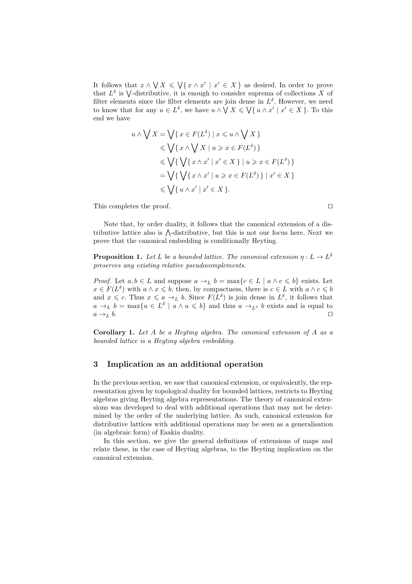It follows that  $x \wedge \bigvee X \leq \bigvee \{x \wedge x' \mid x' \in X\}$  as desired. In order to prove that  $L^{\delta}$  is  $\bigvee$ -distributive, it is enough to consider suprema of collections X of filter elements since the filter elements are join dense in  $L^{\delta}$ . However, we need to know that for any  $u \in L^{\delta}$ , we have  $u \wedge \bigvee X \leq \bigvee \{u \wedge x' \mid x' \in X\}$ . To this end we have

$$
u \wedge \bigvee X = \bigvee \{x \in F(L^{\delta}) \mid x \leq u \wedge \bigvee X\}
$$
  
\n
$$
\leq \bigvee \{x \wedge \bigvee X \mid u \geq x \in F(L^{\delta})\}
$$
  
\n
$$
\leq \bigvee \{ \bigvee \{x \wedge x' \mid x' \in X\} \mid u \geq x \in F(L^{\delta})\}
$$
  
\n
$$
= \bigvee \{ \bigvee \{x \wedge x' \mid u \geq x \in F(L^{\delta})\} \mid x' \in X\}
$$
  
\n
$$
\leq \bigvee \{u \wedge x' \mid x' \in X\}.
$$

This completes the proof. □

Note that, by order duality, it follows that the canonical extension of a distributive lattice also is  $\Lambda$ -distributive, but this is not our focus here. Next we prove that the canonical embedding is conditionally Heyting.

**Proposition 1.** Let L be a bounded lattice. The canonical extension  $\eta: L \to L^{\delta}$ *preserves any existing relative pseudocomplements.*

*Proof.* Let  $a, b \in L$  and suppose  $a \to_L b = \max\{c \in L \mid a \wedge c \leq b\}$  exists. Let  $x \in F(L^{\delta})$  with  $a \wedge x \leq b$ , then, by compactness, there is  $c \in L$  with  $a \wedge c \leq b$ and  $x \leqslant c$ . Thus  $x \leqslant a \rightarrow_L b$ . Since  $F(L^{\delta})$  is join dense in  $L^{\delta}$ , it follows that  $a \rightarrow_L b = \max\{u \in L^{\delta} \mid a \wedge u \leqslant b\}$  and thus  $a \rightarrow_{L^{\delta}} b$  exists and is equal to  $a \rightarrow_L b.$ 

Corollary 1. *Let* A *be a Heyting algebra. The canonical extension of* A *as a bounded lattice is a Heyting algebra embedding.*

# 3 Implication as an additional operation

In the previous section, we saw that canonical extension, or equivalently, the representation given by topological duality for bounded lattices, restricts to Heyting algebras giving Heyting algebra representations. The theory of canonical extensions was developed to deal with additional operations that may not be determined by the order of the underlying lattice. As such, canonical extension for distributive lattices with additional operations may be seen as a generalisation (in algebraic form) of Esakia duality.

In this section, we give the general definitions of extensions of maps and relate these, in the case of Heyting algebras, to the Heyting implication on the canonical extension.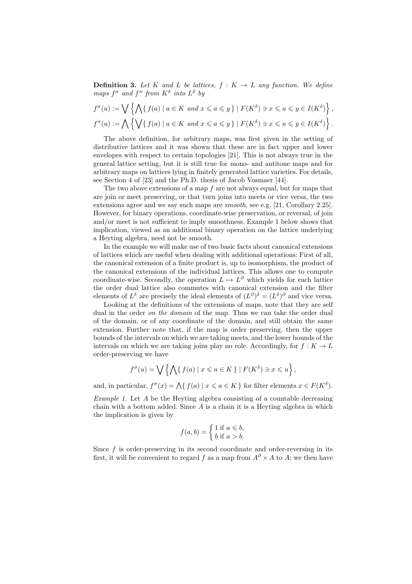**Definition 3.** Let K and L be lattices,  $f: K \to L$  any function. We define  $maps f^{\sigma}$  and  $f^{\pi}$  from  $K^{\delta}$  into  $L^{\delta}$  by

$$
f^{\sigma}(u) := \bigvee \left\{ \bigwedge \{ f(a) \mid a \in K \text{ and } x \leq a \leq y \} \mid F(K^{\delta}) \ni x \leq u \leq y \in I(K^{\delta}) \right\},
$$
  

$$
f^{\pi}(u) := \bigwedge \left\{ \bigvee \{ f(a) \mid a \in K \text{ and } x \leq a \leq y \} \mid F(K^{\delta}) \ni x \leq u \leq y \in I(K^{\delta}) \right\}.
$$

The above definition, for arbitrary maps, was first given in the setting of distributive lattices and it was shown that these are in fact upper and lower envelopes with respect to certain topologies [21]. This is not always true in the general lattice setting, but it is still true for mono- and antitone maps and for arbitrary maps on lattices lying in finitely generated lattice varieties. For details, see Section 4 of [23] and the Ph.D. thesis of Jacob Vosmaer [44].

The two above extensions of a map  $f$  are not always equal, but for maps that are join or meet preserving, or that turn joins into meets or vice versa, the two extensions agree and we say such maps are *smooth*, see e.g. [21, Corollary 2.25]. However, for binary operations, coordinate-wise preservation, or reversal, of join and/or meet is not sufficient to imply smoothness. Example 1 below shows that implication, viewed as an additional binary operation on the lattice underlying a Heyting algebra, need not be smooth.

In the example we will make use of two basic facts about canonical extensions of lattices which are useful when dealing with additional operations: First of all, the canonical extension of a finite product is, up to isomorphism, the product of the canonical extensions of the individual lattices. This allows one to compute coordinate-wise. Secondly, the operation  $L \mapsto L^{\partial}$  which yields for each lattice the order dual lattice also commutes with canonical extension and the filter elements of  $L^{\delta}$  are precisely the ideal elements of  $(L^{\partial})^{\delta} = (L^{\delta})^{\partial}$  and vice versa.

Looking at the definitions of the extensions of maps, note that they are self dual in the order *on the domain* of the map. Thus we can take the order dual of the domain, or of any coordinate of the domain, and still obtain the same extension. Further note that, if the map is order preserving, then the upper bounds of the intervals on which we are taking meets, and the lower bounds of the intervals on which we are taking joins play no role. Accordingly, for  $f: K \to L$ order-preserving we have

$$
f^{\sigma}(u) = \bigvee \left\{ \bigwedge \{ f(a) \mid x \leq a \in K \} \mid F(K^{\delta}) \ni x \leq u \right\},\
$$

and, in particular,  $f^{\sigma}(x) = \bigwedge \{ f(a) \mid x \leq a \in K \}$  for filter elements  $x \in F(K^{\delta})$ .

*Example 1.* Let A be the Heyting algebra consisting of a countable decreasing chain with a bottom added. Since  $A$  is a chain it is a Heyting algebra in which the implication is given by

$$
f(a,b) = \begin{cases} 1 \text{ if } a \leq b, \\ b \text{ if } a > b. \end{cases}
$$

Since  $f$  is order-preserving in its second coordinate and order-reversing in its first, it will be convenient to regard f as a map from  $A^{\partial} \times A$  to A; we then have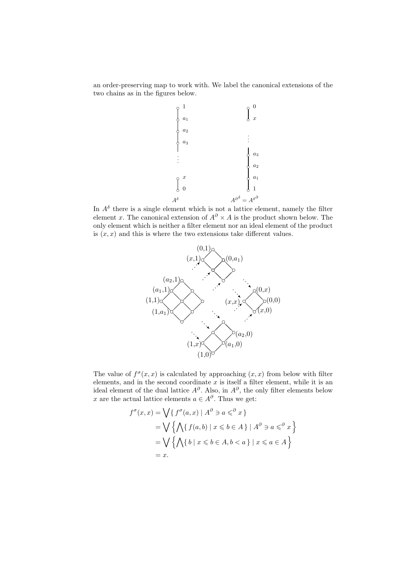an order-preserving map to work with. We label the canonical extensions of the two chains as in the figures below.



In  $A^{\delta}$  there is a single element which is not a lattice element, namely the filter element x. The canonical extension of  $A^{\partial} \times A$  is the product shown below. The only element which is neither a filter element nor an ideal element of the product is  $(x, x)$  and this is where the two extensions take different values.



The value of  $f^{\sigma}(x, x)$  is calculated by approaching  $(x, x)$  from below with filter elements, and in the second coordinate  $x$  is itself a filter element, while it is an ideal element of the dual lattice  $A^{\partial}$ . Also, in  $A^{\partial}$ , the only filter elements below x are the actual lattice elements  $a \in A^{\partial}$ . Thus we get:

$$
f^{\sigma}(x, x) = \bigvee \{ f^{\sigma}(a, x) \mid A^{\partial} \ni a \leq^{\partial} x \}
$$
  
= 
$$
\bigvee \{ \bigwedge \{ f(a, b) \mid x \leq b \in A \} \mid A^{\partial} \ni a \leq^{\partial} x \}
$$
  
= 
$$
\bigvee \{ \bigwedge \{ b \mid x \leq b \in A, b < a \} \mid x \leq a \in A \}
$$
  
= x.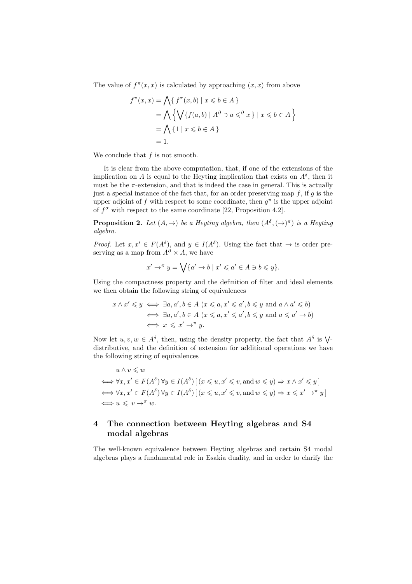The value of  $f^{\pi}(x, x)$  is calculated by approaching  $(x, x)$  from above

$$
f^{\pi}(x, x) = \bigwedge \{ f^{\pi}(x, b) \mid x \leq b \in A \}
$$
  
= 
$$
\bigwedge \{ \bigvee \{ f(a, b) \mid A^{\partial} \ni a \leq^{\partial} x \} \mid x \leq b \in A \}
$$
  
= 
$$
\bigwedge \{ 1 \mid x \leq b \in A \}
$$
  
= 1.

We conclude that  $f$  is not smooth.

It is clear from the above computation, that, if one of the extensions of the implication on A is equal to the Heyting implication that exists on  $A^{\delta}$ , then it must be the  $\pi$ -extension, and that is indeed the case in general. This is actually just a special instance of the fact that, for an order preserving map  $f$ , if  $g$  is the upper adjoint of f with respect to some coordinate, then  $g^{\pi}$  is the upper adjoint of  $f^{\sigma}$  with respect to the same coordinate [22, Proposition 4.2].

**Proposition 2.** Let  $(A, \rightarrow)$  be a Heyting algebra, then  $(A^{\delta}, (\rightarrow)^{\pi})$  is a Heyting *algebra.*

*Proof.* Let  $x, x' \in F(A^{\delta})$ , and  $y \in I(A^{\delta})$ . Using the fact that  $\rightarrow$  is order preserving as a map from  $\overrightarrow{A}^{\partial} \times A$ , we have

$$
x' \to^{\pi} y = \bigvee \{a' \to b \mid x' \leqslant a' \in A \ni b \leqslant y\}.
$$

Using the compactness property and the definition of filter and ideal elements we then obtain the following string of equivalences

$$
x \wedge x' \leq y \iff \exists a, a', b \in A \ (x \leq a, x' \leq a', b \leq y \text{ and } a \wedge a' \leq b)
$$
  

$$
\iff \exists a, a', b \in A \ (x \leq a, x' \leq a', b \leq y \text{ and } a \leq a' \to b)
$$
  

$$
\iff x \leq x' \to^{\pi} y.
$$

Now let  $u, v, w \in A^{\delta}$ , then, using the density property, the fact that  $A^{\delta}$  is  $\bigvee$ distributive, and the definition of extension for additional operations we have the following string of equivalences

$$
u \wedge v \leq w
$$
  
\n
$$
\iff \forall x, x' \in F(A^{\delta}) \forall y \in I(A^{\delta}) [(x \leq u, x' \leq v, \text{and } w \leq y) \Rightarrow x \wedge x' \leq y]
$$
  
\n
$$
\iff \forall x, x' \in F(A^{\delta}) \forall y \in I(A^{\delta}) [(x \leq u, x' \leq v, \text{and } w \leq y) \Rightarrow x \leq x' \rightarrow^{\pi} y]
$$
  
\n
$$
\iff u \leq v \rightarrow^{\pi} w.
$$

# 4 The connection between Heyting algebras and S4 modal algebras

The well-known equivalence between Heyting algebras and certain S4 modal algebras plays a fundamental role in Esakia duality, and in order to clarify the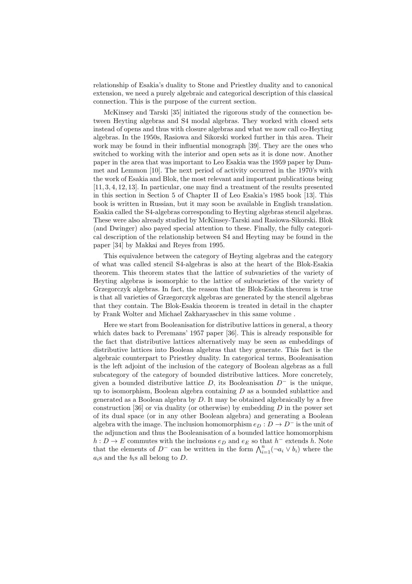relationship of Esakia's duality to Stone and Priestley duality and to canonical extension, we need a purely algebraic and categorical description of this classical connection. This is the purpose of the current section.

McKinsey and Tarski [35] initiated the rigorous study of the connection between Heyting algebras and S4 modal algebras. They worked with closed sets instead of opens and thus with closure algebras and what we now call co-Heyting algebras. In the 1950s, Rasiowa and Sikorski worked further in this area. Their work may be found in their influential monograph [39]. They are the ones who switched to working with the interior and open sets as it is done now. Another paper in the area that was important to Leo Esakia was the 1959 paper by Dummet and Lemmon [10]. The next period of activity occurred in the 1970's with the work of Esakia and Blok, the most relevant and important publications being [11, 3, 4, 12, 13]. In particular, one may find a treatment of the results presented in this section in Section 5 of Chapter II of Leo Esakia's 1985 book [13]. This book is written in Russian, but it may soon be available in English translation. Esakia called the S4-algebras corresponding to Heyting algebras stencil algebras. These were also already studied by McKinsey-Tarski and Rasiowa-Sikorski. Blok (and Dwinger) also payed special attention to these. Finally, the fully categorical description of the relationship between S4 and Heyting may be found in the paper [34] by Makkai and Reyes from 1995.

This equivalence between the category of Heyting algebras and the category of what was called stencil S4-algebras is also at the heart of the Blok-Esakia theorem. This theorem states that the lattice of subvarieties of the variety of Heyting algebras is isomorphic to the lattice of subvarieties of the variety of Grzegorczyk algebras. In fact, the reason that the Blok-Esakia theorem is true is that all varieties of Grzegorczyk algebras are generated by the stencil algebras that they contain. The Blok-Esakia theorem is treated in detail in the chapter by Frank Wolter and Michael Zakharyaschev in this same volume .

Here we start from Booleanisation for distributive lattices in general, a theory which dates back to Peremans' 1957 paper [36]. This is already responsible for the fact that distributive lattices alternatively may be seen as embeddings of distributive lattices into Boolean algebras that they generate. This fact is the algebraic counterpart to Priestley duality. In categorical terms, Booleanisation is the left adjoint of the inclusion of the category of Boolean algebras as a full subcategory of the category of bounded distributive lattices. More concretely, given a bounded distributive lattice D, its Booleanisation  $D^-$  is the unique, up to isomorphism, Boolean algebra containing  $D$  as a bounded sublattice and generated as a Boolean algebra by  $D$ . It may be obtained algebraically by a free construction [36] or via duality (or otherwise) by embedding  $D$  in the power set of its dual space (or in any other Boolean algebra) and generating a Boolean algebra with the image. The inclusion homomorphism  $e_D : D \to D^-$  is the unit of the adjunction and thus the Booleanisation of a bounded lattice homomorphism  $h: D \to E$  commutes with the inclusions  $e_D$  and  $e_E$  so that  $h^-$  extends h. Note that the elements of  $D^-$  can be written in the form  $\bigwedge_{i=1}^n (\neg a_i \vee b_i)$  where the  $a_i$ s and the  $b_i$ s all belong to D.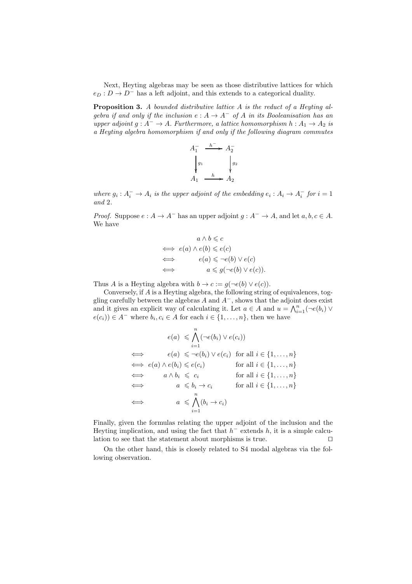Next, Heyting algebras may be seen as those distributive lattices for which  $e_D : D \to D^-$  has a left adjoint, and this extends to a categorical duality.

Proposition 3. *A bounded distributive lattice* A *is the reduct of a Heyting algebra if and only if the inclusion*  $e : A \to A^-$  *of* A *in its Booleanisation has an upper adjoint*  $g : A^- \to A$ *. Furthermore, a lattice homomorphism*  $h : A_1 \to A_2$  *is a Heyting algebra homomorphism if and only if the following diagram commutes*



*where*  $g_i : A_i^- \to A_i$  *is the upper adjoint of the embedding*  $e_i : A_i \to A_i^-$  *for*  $i = 1$ *and* 2*.*

*Proof.* Suppose  $e : A \to A^-$  has an upper adjoint  $g : A^- \to A$ , and let  $a, b, c \in A$ . We have

$$
a \wedge b \leq c
$$
  
\n
$$
\iff e(a) \wedge e(b) \leq e(c)
$$
  
\n
$$
\iff e(a) \leq \neg e(b) \vee e(c)
$$
  
\n
$$
\iff a \leq g(\neg e(b) \vee e(c)).
$$

Thus A is a Heyting algebra with  $b \to c := q(\neg e(b) \lor e(c)).$ 

Conversely, if A is a Heyting algebra, the following string of equivalences, toggling carefully between the algebras  $A$  and  $A^-$ , shows that the adjoint does exist and it gives an explicit way of calculating it. Let  $a \in A$  and  $u = \bigwedge_{i=1}^{n} (\neg e(b_i) \vee$  $e(c_i)$ )  $\in A^-$  where  $b_i, c_i \in A$  for each  $i \in \{1, ..., n\}$ , then we have

$$
e(a) \leqslant \bigwedge_{i=1}^{n} (\neg e(b_i) \lor e(c_i))
$$
  
\n
$$
\iff e(a) \leqslant \neg e(b_i) \lor e(c_i) \text{ for all } i \in \{1, ..., n\}
$$
  
\n
$$
\iff e(a) \land e(b_i) \leqslant e(c_i) \text{ for all } i \in \{1, ..., n\}
$$
  
\n
$$
\iff a \land b_i \leqslant c_i \text{ for all } i \in \{1, ..., n\}
$$
  
\n
$$
\iff a \leqslant b_i \rightarrow c_i \text{ for all } i \in \{1, ..., n\}
$$
  
\n
$$
\iff a \leqslant \bigwedge_{i=1}^{n} (b_i \rightarrow c_i)
$$

Finally, given the formulas relating the upper adjoint of the inclusion and the Heyting implication, and using the fact that  $h^-$  extends h, it is a simple calculation to see that the statement about morphisms is true. ⊓⊔

On the other hand, this is closely related to S4 modal algebras via the following observation.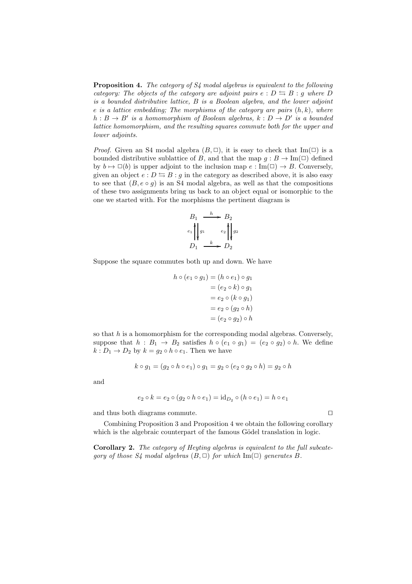Proposition 4. *The category of S4 modal algebras is equivalent to the following category: The objects of the category are adjoint pairs*  $e : D \leftrightarrows B : g$  where D *is a bounded distributive lattice,* B *is a Boolean algebra, and the lower adjoint* e *is a lattice embedding; The morphisms of the category are pairs* (h, k)*, where*  $h: B \to B'$  is a homomorphism of Boolean algebras,  $k: D \to D'$  is a bounded *lattice homomorphism, and the resulting squares commute both for the upper and lower adjoints.*

*Proof.* Given an S4 modal algebra  $(B, \Box)$ , it is easy to check that Im( $\Box$ ) is a bounded distributive sublattice of B, and that the map  $g : B \to \text{Im}(\square)$  defined by  $b \mapsto \Box(b)$  is upper adjoint to the inclusion map  $e : \text{Im}(\Box) \to B$ . Conversely, given an object  $e: D \leftrightarrows B : q$  in the category as described above, it is also easy to see that  $(B, e \circ g)$  is an S4 modal algebra, as well as that the compositions of these two assignments bring us back to an object equal or isomorphic to the one we started with. For the morphisms the pertinent diagram is

$$
B_1 \xrightarrow{h} B_2
$$
  
\n
$$
e_1 \searrow g_1
$$
  
\n
$$
g_1 \xrightarrow{k} g_2
$$
  
\n
$$
D_1 \xrightarrow{k} D_2
$$

Suppose the square commutes both up and down. We have

$$
h \circ (e_1 \circ g_1) = (h \circ e_1) \circ g_1
$$
  
=  $(e_2 \circ k) \circ g_1$   
=  $e_2 \circ (k \circ g_1)$   
=  $e_2 \circ (g_2 \circ h)$   
=  $(e_2 \circ g_2) \circ h$ 

so that  $h$  is a homomorphism for the corresponding modal algebras. Conversely, suppose that  $h : B_1 \to B_2$  satisfies  $h \circ (e_1 \circ g_1) = (e_2 \circ g_2) \circ h$ . We define  $k: D_1 \to D_2$  by  $k = g_2 \circ h \circ e_1$ . Then we have

$$
k \circ g_1 = (g_2 \circ h \circ e_1) \circ g_1 = g_2 \circ (e_2 \circ g_2 \circ h) = g_2 \circ h
$$

and

$$
e_2 \circ k = e_2 \circ (g_2 \circ h \circ e_1) = \mathrm{id}_{D_2} \circ (h \circ e_1) = h \circ e_1
$$

and thus both diagrams commute.  $□$ 

Combining Proposition 3 and Proposition 4 we obtain the following corollary which is the algebraic counterpart of the famous Gödel translation in logic.

Corollary 2. *The category of Heyting algebras is equivalent to the full subcategory of those S4 modal algebras*  $(B, \Box)$  *for which*  $\text{Im}(\Box)$  *generates* B.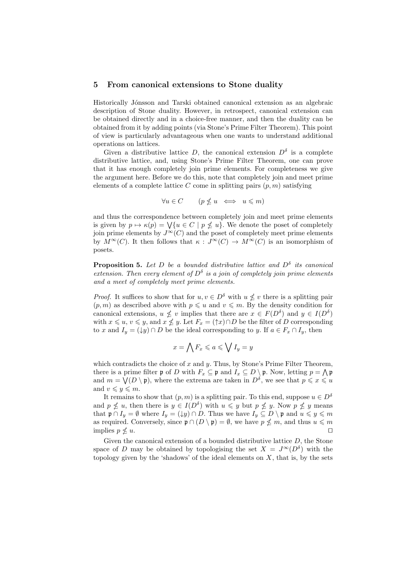#### 5 From canonical extensions to Stone duality

Historically Jónsson and Tarski obtained canonical extension as an algebraic description of Stone duality. However, in retrospect, canonical extension can be obtained directly and in a choice-free manner, and then the duality can be obtained from it by adding points (via Stone's Prime Filter Theorem). This point of view is particularly advantageous when one wants to understand additional operations on lattices.

Given a distributive lattice D, the canonical extension  $D^{\delta}$  is a complete distributive lattice, and, using Stone's Prime Filter Theorem, one can prove that it has enough completely join prime elements. For completeness we give the argument here. Before we do this, note that completely join and meet prime elements of a complete lattice  $C$  come in splitting pairs  $(p, m)$  satisfying

$$
\forall u \in C \qquad (p \nleq u \iff u \leq m)
$$

and thus the correspondence between completely join and meet prime elements is given by  $p \mapsto \kappa(p) = \bigvee \{ u \in C \mid p \nleq u \}.$  We denote the poset of completely join prime elements by  $J^{\infty}(C)$  and the poset of completely meet prime elements by  $M^{\infty}(C)$ . It then follows that  $\kappa : J^{\infty}(C) \to M^{\infty}(C)$  is an isomorphism of posets.

**Proposition 5.** Let  $D$  be a bounded distributive lattice and  $D^{\delta}$  its canonical extension. Then every element of  $D^{\delta}$  is a join of completely join prime elements *and a meet of completely meet prime elements.*

*Proof.* It suffices to show that for  $u, v \in D^{\delta}$  with  $u \nleq v$  there is a splitting pair  $(p, m)$  as described above with  $p \leq u$  and  $v \leq m$ . By the density condition for canonical extensions,  $u \nleq v$  implies that there are  $x \in F(D^{\delta})$  and  $y \in I(D^{\delta})$ with  $x \leq u, v \leq y$ , and  $x \nleq y$ . Let  $F_x = (\uparrow x) \cap D$  be the filter of D corresponding to x and  $I_y = (\downarrow y) \cap D$  be the ideal corresponding to y. If  $a \in F_x \cap I_y$ , then

$$
x = \bigwedge F_x \leqslant a \leqslant \bigvee I_y = y
$$

which contradicts the choice of  $x$  and  $y$ . Thus, by Stone's Prime Filter Theorem, there is a prime filter  $\mathfrak p$  of D with  $F_x \subseteq \mathfrak p$  and  $I_x \subseteq D \setminus \mathfrak p$ . Now, letting  $p = \bigwedge \mathfrak p$ and  $m = \bigvee(D \setminus \mathfrak{p})$ , where the extrema are taken in  $D^{\delta}$ , we see that  $p \leqslant x \leqslant u$ and  $v \leq y \leq m$ .

It remains to show that  $(p, m)$  is a splitting pair. To this end, suppose  $u \in D^{\delta}$ and  $p \nleq u$ , then there is  $y \in I(D^{\delta})$  with  $u \leq y$  but  $p \nleq y$ . Now  $p \nleq y$  means that  $\mathfrak{p} \cap I_y = \emptyset$  where  $I_y = (\downarrow y) \cap D$ . Thus we have  $I_y \subseteq D \setminus \mathfrak{p}$  and  $u \leq y \leq m$ as required. Conversely, since  $\mathfrak{p} \cap (D \setminus \mathfrak{p}) = \emptyset$ , we have  $p \nleq m$ , and thus  $u \leq m$ implies  $p \nleq u$ .  $u$ . □

Given the canonical extension of a bounded distributive lattice  $D$ , the Stone space of D may be obtained by topologising the set  $X = J^{\infty}(D^{\delta})$  with the topology given by the 'shadows' of the ideal elements on  $X$ , that is, by the sets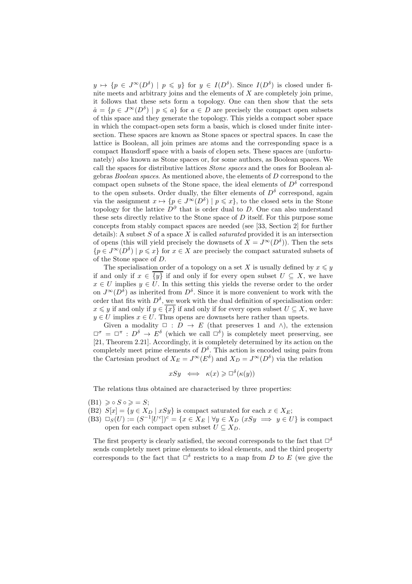$y \mapsto \{p \in J^{\infty}(D^{\delta}) \mid p \leqslant y\}$  for  $y \in I(D^{\delta})$ . Since  $I(D^{\delta})$  is closed under finite meets and arbitrary joins and the elements of X are completely join prime, it follows that these sets form a topology. One can then show that the sets  $\hat{a} = \{p \in J^{\infty}(D^{\delta}) \mid p \leq a\}$  for  $a \in D$  are precisely the compact open subsets of this space and they generate the topology. This yields a compact sober space in which the compact-open sets form a basis, which is closed under finite intersection. These spaces are known as Stone spaces or spectral spaces. In case the lattice is Boolean, all join primes are atoms and the corresponding space is a compact Hausdorff space with a basis of clopen sets. These spaces are (unfortunately) *also* known as Stone spaces or, for some authors, as Boolean spaces. We call the spaces for distributive lattices *Stone spaces* and the ones for Boolean algebras *Boolean spaces*. As mentioned above, the elements of D correspond to the compact open subsets of the Stone space, the ideal elements of  $D^{\delta}$  correspond to the open subsets. Order dually, the filter elements of  $D^{\delta}$  correspond, again via the assignment  $x \mapsto {p \in J^{\infty}(D^{\delta}) \mid p \leq x}$ , to the closed sets in the Stone topology for the lattice  $D^{\partial}$  that is order dual to D. One can also understand these sets directly relative to the Stone space of D itself. For this purpose some concepts from stably compact spaces are needed (see [33, Section 2] for further details): A subset S of a space X is called *saturated* provided it is an intersection of opens (this will yield precisely the downsets of  $X = J^{\infty}(D^{\delta})$ ). Then the sets  ${p \in J^{\infty}(D^{\delta}) \mid p \leq x}$  for  $x \in X$  are precisely the compact saturated subsets of of the Stone space of D.

The specialisation order of a topology on a set X is usually defined by  $x \leq y$ if and only if  $x \in \{y\}$  if and only if for every open subset  $U \subseteq X$ , we have  $x \in U$  implies  $y \in U$ . In this setting this yields the reverse order to the order on  $J^{\infty}(D^{\delta})$  as inherited from  $D^{\delta}$ . Since it is more convenient to work with the order that fits with  $D^{\delta}$ , we work with the dual definition of specialisation order:  $x \leq y$  if and only if  $y \in \overline{\{x\}}$  if and only if for every open subset  $U \subseteq X$ , we have  $y \in U$  implies  $x \in U$ . Thus opens are downsets here rather than upsets.

Given a modality  $\Box : D \rightarrow E$  (that preserves 1 and  $\land$ ), the extension  $\Box^{\sigma} = \Box^{\pi} : D^{\delta} \to E^{\delta}$  (which we call  $\Box^{\delta}$ ) is completely meet preserving, see [21, Theorem 2.21]. Accordingly, it is completely determined by its action on the completely meet prime elements of  $D^{\delta}$ . This action is encoded using pairs from the Cartesian product of  $X_E = J^{\infty}(E^{\delta})$  and  $X_D = J^{\infty}(D^{\delta})$  via the relation

 $xSy \iff \kappa(x) \geqslant \Box^{\delta}(\kappa(y))$ 

The relations thus obtained are characterised by three properties:

- $(B1) \geqslant \circ S \circ \geqslant S = S;$
- (B2)  $S[x] = \{y \in X_D \mid xSy\}$  is compact saturated for each  $x \in X_E$ ;
- (B3)  $\Box_S(U) := (S^{-1}[U^c])^c = \{x \in X_E \mid \forall y \in X_D \ (xSy \implies y \in U\}$  is compact open for each compact open subset  $U \subseteq X_D$ .

The first property is clearly satisfied, the second corresponds to the fact that  $\Box^{\delta}$ sends completely meet prime elements to ideal elements, and the third property corresponds to the fact that  $\Box^{\delta}$  restricts to a map from D to E (we give the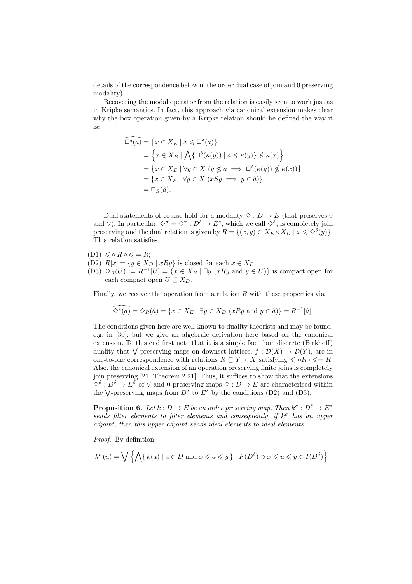details of the correspondence below in the order dual case of join and 0 preserving modality).

Recovering the modal operator from the relation is easily seen to work just as in Kripke semantics. In fact, this approach via canonical extension makes clear why the box operation given by a Kripke relation should be defined the way it is:

$$
\widehat{\Box^{\delta}(a)} = \{ x \in X_E \mid x \leq \Box^{\delta}(a) \}
$$
  
= 
$$
\{ x \in X_E \mid \bigwedge \{ \Box^{\delta}(\kappa(y)) \mid a \leq \kappa(y) \} \nleq \kappa(x) \}
$$
  
= 
$$
\{ x \in X_E \mid \forall y \in X \ (y \nleq a \implies \Box^{\delta}(\kappa(y)) \nleq \kappa(x) ) \}
$$
  
= 
$$
\{ x \in X_E \mid \forall y \in X \ (xSy \implies y \in \hat{a}) \}
$$
  
= 
$$
\Box_S(\hat{a}).
$$

Dual statements of course hold for a modality  $\Diamond : D \to E$  (that preserves 0 and  $\vee$ ). In particular,  $\diamond^{\sigma} = \diamond^{\pi} : D^{\delta} \to E^{\delta}$ , which we call  $\diamond^{\delta}$ , is completely join preserving and the dual relation is given by  $R = \{(x, y) \in X_E \times X_D \mid x \leq \delta(y)\}.$ This relation satisfies

- $(D1) \leqslant \circ R \circ \leqslant R$ ;
- (D2)  $R[x] = \{y \in X_D \mid xRy\}$  is closed for each  $x \in X_E$ ;
- $(D3) \diamond R(U) := R^{-1}[U] = \{x \in X_E \mid \exists y \ (xRy \text{ and } y \in U)\}\$ is compact open for each compact open  $U \subseteq X_D$ .

Finally, we recover the operation from a relation  $R$  with these properties via

$$
\widehat{\diamond^{\delta}(a)} = \diamond_R(\hat{a}) = \{ x \in X_E \mid \exists y \in X_D \ (xRy \text{ and } y \in \hat{a}) \} = R^{-1}[\hat{a}].
$$

The conditions given here are well-known to duality theorists and may be found, e.g. in [30], but we give an algebraic derivation here based on the canonical extension. To this end first note that it is a simple fact from discrete (Birkhoff) duality that  $\bigvee$ -preserving maps on downset lattices,  $f : \mathcal{D}(X) \to \mathcal{D}(Y)$ , are in one-to-one correspondence with relations  $R \subseteq Y \times X$  satisfying  $\leq \circ R \circ \leq R$ . Also, the canonical extension of an operation preserving finite joins is completely join preserving [21, Theorem 2.21]. Thus, it suffices to show that the extensions  $\Diamond^{\delta}: D^{\delta} \to E^{\delta}$  of  $\vee$  and 0 preserving maps  $\Diamond: D \to E$  are characterised within the  $\bigvee$ -preserving maps from  $D^{\delta}$  to  $E^{\delta}$  by the conditions (D2) and (D3).

**Proposition 6.** Let  $k : D \to E$  be an order preserving map. Then  $k^{\sigma} : D^{\delta} \to E^{\delta}$ *sends filter elements to filter elements and consequently, if* k <sup>σ</sup> *has an upper adjoint, then this upper adjoint sends ideal elements to ideal elements.*

*Proof.* By definition

$$
k^{\sigma}(u) = \bigvee \left\{ \bigwedge \{ k(a) \mid a \in D \text{ and } x \leqslant a \leqslant y \} \mid F(D^{\delta}) \ni x \leqslant u \leqslant y \in I(D^{\delta}) \right\}.
$$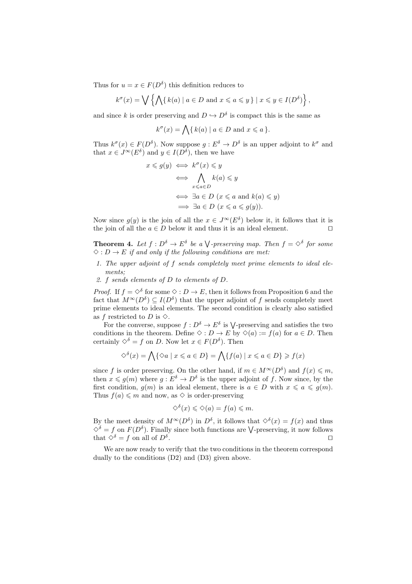Thus for  $u = x \in F(D^{\delta})$  this definition reduces to

$$
k^{\sigma}(x) = \bigvee \left\{ \bigwedge \{ k(a) \mid a \in D \text{ and } x \leqslant a \leqslant y \} \mid x \leqslant y \in I(D^{\delta}) \right\},\
$$

and since k is order preserving and  $D \hookrightarrow D^{\delta}$  is compact this is the same as

$$
k^{\sigma}(x) = \bigwedge \{ k(a) \mid a \in D \text{ and } x \leqslant a \}.
$$

Thus  $k^{\sigma}(x) \in F(D^{\delta})$ . Now suppose  $g: E^{\delta} \to D^{\delta}$  is an upper adjoint to  $k^{\sigma}$  and that  $x \in J^{\infty}(E^{\delta})$  and  $y \in I(D^{\delta})$ , then we have

$$
x \leq g(y) \iff k^{\sigma}(x) \leq y
$$
  
\n
$$
\iff \bigwedge_{x \leq a \in D} k(a) \leq y
$$
  
\n
$$
\iff \exists a \in D \ (x \leq a \text{ and } k(a) \leq y)
$$
  
\n
$$
\implies \exists a \in D \ (x \leq a \leq g(y)).
$$

Now since  $g(y)$  is the join of all the  $x \in J^{\infty}(E^{\delta})$  below it, it follows that it is the join of all the  $a \in D$  below it and thus it is an ideal element. □

**Theorem 4.** Let  $f: D^{\delta} \to E^{\delta}$  be a  $\bigvee$ -preserving map. Then  $f = \Diamond^{\delta}$  for some  $\Diamond$ :  $D \rightarrow E$  *if and only if the following conditions are met:* 

- *1. The upper adjoint of* f *sends completely meet prime elements to ideal elements;*
- *2.* f *sends elements of* D *to elements of* D*.*

*Proof.* If  $f = \diamond^{\delta}$  for some  $\diamond : D \to E$ , then it follows from Proposition 6 and the fact that  $M^{\infty}(D^{\delta}) \subseteq I(D^{\delta})$  that the upper adjoint of f sends completely meet prime elements to ideal elements. The second condition is clearly also satisfied as f restricted to D is  $\diamond$ .

For the converse, suppose  $f: D^{\delta} \to E^{\delta}$  is  $\bigvee$ -preserving and satisfies the two conditions in the theorem. Define  $\Diamond : D \to E$  by  $\Diamond(a) := f(a)$  for  $a \in D$ . Then certainly  $\Diamond^{\delta} = f$  on D. Now let  $x \in F(D^{\delta})$ . Then

$$
\Diamond^{\delta}(x) = \bigwedge \{ \Diamond a \mid x \leqslant a \in D \} = \bigwedge \{ f(a) \mid x \leqslant a \in D \} \geqslant f(x)
$$

since f is order preserving. On the other hand, if  $m \in M^{\infty}(D^{\delta})$  and  $f(x) \leqslant m$ , then  $x \leq g(m)$  where  $g: E^{\delta} \to D^{\delta}$  is the upper adjoint of f. Now since, by the first condition,  $g(m)$  is an ideal element, there is  $a \in D$  with  $x \leq a \leq g(m)$ . Thus  $f(a) \leq m$  and now, as  $\diamond$  is order-preserving

$$
\diamond^{\delta}(x) \leqslant \diamond(a) = f(a) \leqslant m.
$$

By the meet density of  $M^{\infty}(D^{\delta})$  in  $D^{\delta}$ , it follows that  $\diamond^{\delta}(x) = f(x)$  and thus  $\Diamond^{\delta} = f$  on  $F(D^{\delta})$ . Finally since both functions are  $\bigvee$ -preserving, it now follows that  $\Diamond^{\delta} = f$  on all of  $D^{\delta}$ . . ⊓⊔

We are now ready to verify that the two conditions in the theorem correspond dually to the conditions (D2) and (D3) given above.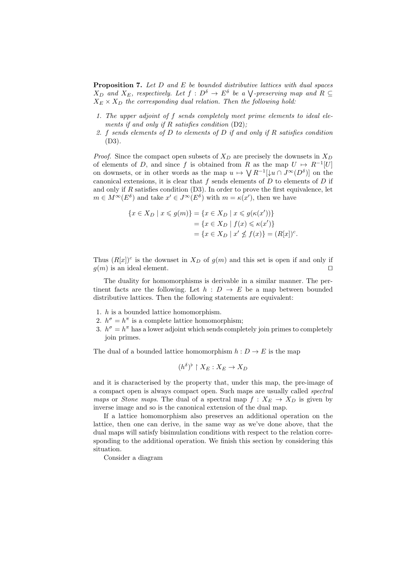Proposition 7. *Let* D *and* E *be bounded distributive lattices with dual spaces*  $X_D$  and  $X_E$ , respectively. Let  $f: D^{\delta} \to E^{\delta}$  be a  $\bigvee$ -preserving map and  $R \subseteq$  $X_E \times X_D$  *the corresponding dual relation. Then the following hold:* 

- *1. The upper adjoint of* f *sends completely meet prime elements to ideal elements if and only if* R *satisfies condition* (D2)*;*
- *2.* f *sends elements of* D *to elements of* D *if and only if* R *satisfies condition* (D3)*.*

*Proof.* Since the compact open subsets of  $X_D$  are precisely the downsets in  $X_D$ of elements of D, and since f is obtained from R as the map  $U \mapsto R^{-1}[U]$ on downsets, or in other words as the map  $u \mapsto \bigvee R^{-1}[\downarrow u \cap J^{\infty}(D^{\delta})]$  on the canonical extensions, it is clear that  $f$  sends elements of  $D$  to elements of  $D$  if and only if  $R$  satisfies condition  $(D3)$ . In order to prove the first equivalence, let  $m \in M^{\infty}(E^{\delta})$  and take  $x' \in J^{\infty}(E^{\delta})$  with  $m = \kappa(x')$ , then we have

$$
\{x \in X_D \mid x \leq g(m)\} = \{x \in X_D \mid x \leq g(\kappa(x'))\}
$$

$$
= \{x \in X_D \mid f(x) \leq \kappa(x')\}
$$

$$
= \{x \in X_D \mid x' \nleq f(x)\} = (R[x])^c.
$$

Thus  $(R[x])^c$  is the downset in  $X_D$  of  $g(m)$  and this set is open if and only if  $g(m)$  is an ideal element. □

The duality for homomorphisms is derivable in a similar manner. The pertinent facts are the following. Let  $h : D \to E$  be a map between bounded distributive lattices. Then the following statements are equivalent:

- 1. h is a bounded lattice homomorphism.
- 2.  $h^{\sigma} = h^{\pi}$  is a complete lattice homomorphism;
- 3.  $h^{\sigma} = h^{\pi}$  has a lower adjoint which sends completely join primes to completely join primes.

The dual of a bounded lattice homomorphism  $h: D \to E$  is the map

$$
(h^{\delta})^{\flat} \restriction X_E : X_E \to X_D
$$

and it is characterised by the property that, under this map, the pre-image of a compact open is always compact open. Such maps are usually called *spectral maps* or *Stone maps*. The dual of a spectral map  $f: X_E \to X_D$  is given by inverse image and so is the canonical extension of the dual map.

If a lattice homomorphism also preserves an additional operation on the lattice, then one can derive, in the same way as we've done above, that the dual maps will satisfy bisimulation conditions with respect to the relation corresponding to the additional operation. We finish this section by considering this situation.

Consider a diagram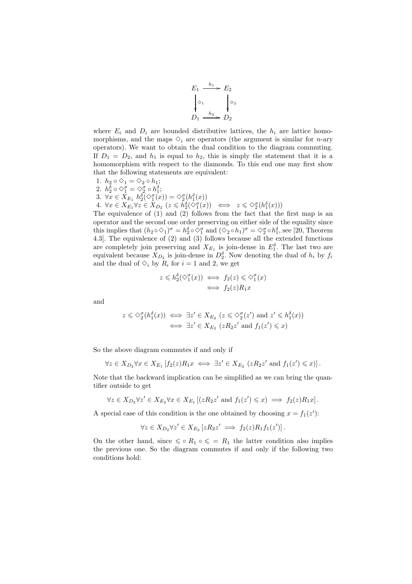$$
E_1 \xrightarrow{h_1} E_2
$$
  
\n
$$
\diamond_1 \qquad \diamond_2
$$
  
\n
$$
D_1 \xrightarrow{h_2} D_2
$$

where  $E_i$  and  $D_i$  are bounded distributive lattices, the  $h_i$  are lattice homomorphisms, and the maps  $\Diamond_i$  are operators (the argument is similar for *n*-ary operators). We want to obtain the dual condition to the diagram commuting. If  $D_1 = D_2$ , and  $h_1$  is equal to  $h_2$ , this is simply the statement that it is a homomorphism with respect to the diamonds. To this end one may first show that the following statements are equivalent:

- 1.  $h_2 \circ \Diamond_1 = \Diamond_2 \circ h_1;$
- 2.  $h_2^{\overline{\delta}} \circ \Diamond_1^{\overline{\sigma}} = \Diamond_2^{\overline{\sigma}} \circ h_1^{\overline{\delta}};$
- 3.  $\forall x \in X_{E_1} h_2^{\delta}(\Diamond q(x)) = \Diamond q(h_1^{\delta}(x))$
- 4.  $\forall x \in X_{E_1} \forall z \in X_{D_2} \ (z \leqslant \tilde{h}_2^{\delta}(\Diamond q^{\sigma}(x)) \iff z \leqslant \Diamond_q^{\sigma}(h_1^{\delta}(x)))$

The equivalence of (1) and (2) follows from the fact that the first map is an operator and the second one order preserving on either side of the equality since this implies that  $(h_2 \circ \Diamond_1)^\sigma = h_2^\delta \circ \Diamond_1^\sigma$  and  $(\Diamond_2 \circ h_1)^\sigma = \Diamond_2^\sigma \circ h_1^\delta$ , see [20, Theorem 4.3]. The equivalence of (2) and (3) follows because all the extended functions are completely join preserving and  $X_{E_1}$  is join-dense in  $E_1^{\delta}$ . The last two are equivalent because  $X_{D_2}$  is join-dense in  $D_2^{\delta}$ . Now denoting the dual of  $h_i$  by  $f_i$ and the dual of  $\Diamond_i$  by  $R_i$  for  $i = 1$  and 2, we get

$$
z \leq h_2^{\delta}(\Diamond_1^{\sigma}(x)) \iff f_2(z) \leq \Diamond_1^{\sigma}(x)
$$
  
 $\iff f_2(z)R_1x$ 

and

$$
z \leq \Diamond_2^{\sigma}(h_1^{\delta}(x)) \iff \exists z' \in X_{E_2} \ (z \leq \Diamond_2^{\sigma}(z') \text{ and } z' \leq h_1^{\delta}(x))
$$
  

$$
\iff \exists z' \in X_{E_2} \ (zR_2 z' \text{ and } f_1(z') \leq x)
$$

So the above diagram commutes if and only if

$$
\forall z \in X_{D_2} \forall x \in X_{E_1} \left[ f_2(z) R_1 x \iff \exists z' \in X_{E_2} \ (z R_2 z' \text{ and } f_1(z') \leqslant x) \right].
$$

Note that the backward implication can be simplified as we can bring the quantifier outside to get

 $\forall z \in X_{D_2} \forall z' \in X_{E_2} \forall x \in X_{E_1} [(zR_2z' \text{ and } f_1(z') \leqslant x) \implies f_2(z)R_1x].$ 

A special case of this condition is the one obtained by choosing  $x = f_1(z')$ :

$$
\forall z \in X_{D_2} \forall z' \in X_{E_2} \left[ z R_2 z' \implies f_2(z) R_1 f_1(z') \right].
$$

On the other hand, since  $\leq \circ R_1 \circ \leq R_1$  the latter condition also implies the previous one. So the diagram commutes if and only if the following two conditions hold: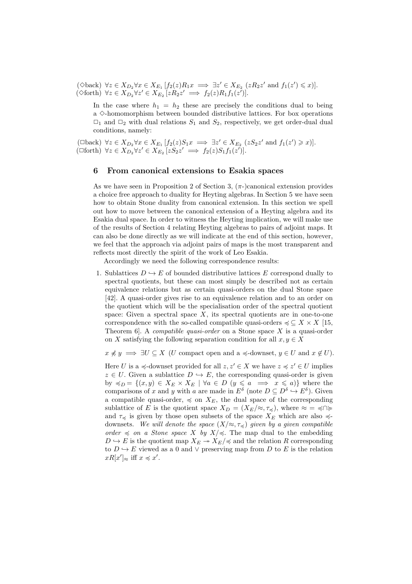$(\Diamond \text{back}) \ \forall z \in X_{D_2} \forall x \in X_{E_1} [f_2(z)R_1x \implies \exists z' \in X_{E_2} (zR_2z' \text{ and } f_1(z') \leq x)].$  $(\diamond$ forth)  $\forall z \in X_{D_2} \forall z' \in X_{E_2} [zR_2z' \implies f_2(z)R_1f_1(z')]$ .

In the case where  $h_1 = h_2$  these are precisely the conditions dual to being a  $\diamond$ -homomorphism between bounded distributive lattices. For box operations  $\Box_1$  and  $\Box_2$  with dual relations  $S_1$  and  $S_2$ , respectively, we get order-dual dual conditions, namely:

 $(\Box$ back)  $\forall z \in X_{D_2} \forall x \in X_{E_1} [f_2(z)S_1 x \implies \exists z' \in X_{E_2} (zS_2 z' \text{ and } f_1(z') \geq x)].$  $(\Box \text{forth}) \ \forall z \in X_{D_2} \forall z' \in X_{E_2} [zS_2 z' \implies f_2(z)S_1 f_1(z')]$ .

#### 6 From canonical extensions to Esakia spaces

As we have seen in Proposition 2 of Section 3,  $(\pi$ -)canonical extension provides a choice free approach to duality for Heyting algebras. In Section 5 we have seen how to obtain Stone duality from canonical extension. In this section we spell out how to move between the canonical extension of a Heyting algebra and its Esakia dual space. In order to witness the Heyting implication, we will make use of the results of Section 4 relating Heyting algebras to pairs of adjoint maps. It can also be done directly as we will indicate at the end of this section, however, we feel that the approach via adjoint pairs of maps is the most transparent and reflects most directly the spirit of the work of Leo Esakia.

Accordingly we need the following correspondence results:

1. Sublattices  $D \hookrightarrow E$  of bounded distributive lattices E correspond dually to spectral quotients, but these can most simply be described not as certain equivalence relations but as certain quasi-orders on the dual Stone space [42]. A quasi-order gives rise to an equivalence relation and to an order on the quotient which will be the specialisation order of the spectral quotient space: Given a spectral space  $X$ , its spectral quotients are in one-to-one correspondence with the so-called compatible quasi-orders  $\preccurlyeq \subseteq X \times X$  [15, Theorem 6]. A *compatible quasi-order* on a Stone space X is a quasi-order on X satisfying the following separation condition for all  $x, y \in X$ 

 $x \not\preccurlyeq y \implies \exists U \subseteq X \ (U \text{ compact open and a } \preccurlyeq \text{-downset}, y \in U \text{ and } x \not\in U).$ 

Here U is a  $\preccurlyeq$ -downset provided for all  $z, z' \in X$  we have  $z \preccurlyeq z' \in U$  implies  $z \in U$ . Given a sublattice  $D \hookrightarrow E$ , the corresponding quasi-order is given by  $\preccurlyeq_D = \{(x, y) \in X_E \times X_E \mid \forall a \in D \ (y \leq a \implies x \leq a)\}\$  where the comparisons of x and y with a are made in  $E^{\delta}$  (note  $D \subseteq D^{\delta} \hookrightarrow E^{\delta}$ ). Given a compatible quasi-order,  $\preccurlyeq$  on  $X_E$ , the dual space of the corresponding sublattice of E is the quotient space  $X_D = (X_E / \approx, \tau_{\preccurlyeq})$ , where  $\approx$  =  $\preccurlyeq$   $\cap \succcurlyeq$ and  $\tau_{\preceq}$  is given by those open subsets of the space  $X_E$  which are also  $\preceq$ downsets. We will denote the space  $(X/\approx, \tau_{\preccurlyeq})$  given by a given compatible *order*  $\leq$  *on a Stone space* X *by*  $X/\leq$ . The map dual to the embedding  $D \hookrightarrow E$  is the quotient map  $X_E \rightarrow X_E/\preccurlyeq$  and the relation R corresponding to  $D \hookrightarrow E$  viewed as a 0 and  $\vee$  preserving map from D to E is the relation  $xR[x']_{\approx}$  iff  $x \preccurlyeq x'$ .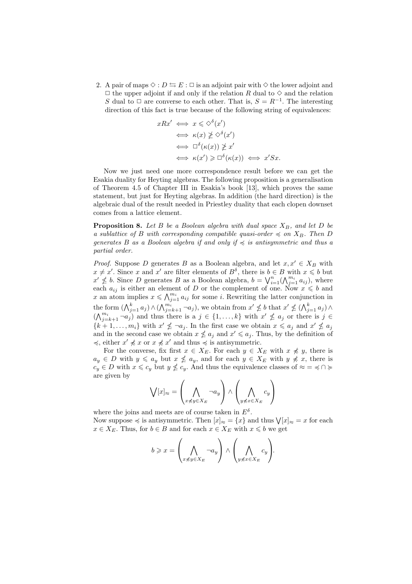2. A pair of maps  $\Diamond : D \leftrightarrows E : \Box$  is an adjoint pair with  $\Diamond$  the lower adjoint and  $\Box$  the upper adjoint if and only if the relation R dual to  $\diamond$  and the relation S dual to  $\Box$  are converse to each other. That is,  $S = R^{-1}$ . The interesting direction of this fact is true because of the following string of equivalences:

$$
xRx' \iff x \leq \Diamond^{\delta}(x')
$$
  
\n
$$
\iff \kappa(x) \ngeq \Diamond^{\delta}(x')
$$
  
\n
$$
\iff \Box^{\delta}(\kappa(x)) \ngeq x'
$$
  
\n
$$
\iff \kappa(x') \geq \Box^{\delta}(\kappa(x)) \iff x'Sx.
$$

Now we just need one more correspondence result before we can get the Esakia duality for Heyting algebras. The following proposition is a generalisation of Theorem 4.5 of Chapter III in Esakia's book [13], which proves the same statement, but just for Heyting algebras. In addition (the hard direction) is the algebraic dual of the result needed in Priestley duality that each clopen downset comes from a lattice element.

**Proposition 8.** Let B be a Boolean algebra with dual space  $X_B$ , and let D be *a sublattice of B with corresponding compatible quasi-order*  $\leq$  *on*  $X_B$ *. Then D generates*  $B$  *as a Boolean algebra if and only if*  $\preccurlyeq$  *is antisymmetric and thus a partial order.*

*Proof.* Suppose D generates B as a Boolean algebra, and let  $x, x' \in X_B$  with  $x \neq x'$ . Since x and x' are filter elements of  $B^{\delta}$ , there is  $b \in B$  with  $x \leq b$  but  $x' \nleq b$ . Since D generates B as a Boolean algebra,  $b = \bigvee_{i=1}^{n} (\bigwedge_{j=1}^{m_i} a_{ij}),$  where each  $a_{ij}$  is either an element of D or the complement of one. Now  $x \leq b$  and x an atom implies  $x \leq \bigwedge_{j=1}^{m_i} a_{ij}$  for some i. Rewriting the latter conjunction in the form  $(\bigwedge_{j=1}^k a_j) \wedge (\bigwedge_{j=k+1}^{m_i} \neg a_j)$ , we obtain from  $x' \nleq b$  that  $x' \nleq (\bigwedge_{j=1}^k a_j) \wedge$  $(\bigwedge_{j=k+1}^{m_i} \neg a_j)$  and thus there is a  $j \in \{1,\ldots,k\}$  with  $x' \nleq a_j$  or there is  $j \in$  $\{k+1,\ldots,m_i\}$  with  $x' \nleq \neg a_j$ . In the first case we obtain  $x \leq a_j$  and  $x' \nleq a_j$ and in the second case we obtain  $x \nleq a_j$  and  $x' \nleq a_j$ . Thus, by the definition of  $\preccurlyeq$ , either  $x' \nless x$  or  $x \nless x'$  and thus  $\preccurlyeq$  is antisymmetric.

For the converse, fix first  $x \in X_E$ . For each  $y \in X_E$  with  $x \not\preccurlyeq y$ , there is  $a_y \in D$  with  $y \leq a_y$  but  $x \nleq a_y$ , and for each  $y \in X_E$  with  $y \nleq x$ , there is  $c_y \in D$  with  $x \leqslant c_y$  but  $y \nleq c_y$ . And thus the equivalence classes of  $\approx z \leq \eta \succ z$ are given by

$$
\bigvee [x]_{\approx} = \left(\bigwedge_{x \not\preccurlyeq y \in X_E} \neg a_y\right) \land \left(\bigwedge_{y \not\preccurlyeq x \in X_E} c_y\right)
$$

where the joins and meets are of course taken in  $E^{\delta}$ . Now suppose  $\preccurlyeq$  is antisymmetric. Then  $[x]_{\approx} = \{x\}$  and thus  $\bigvee [x]_{\approx} = x$  for each  $x \in X_E$ . Thus, for  $b \in B$  and for each  $x \in X_E$  with  $x \leq b$  we get

$$
b \geqslant x = \left(\bigwedge_{x \not\preccurlyeq y \in X_E} \neg a_y\right) \land \left(\bigwedge_{y \not\preccurlyeq x \in X_E} c_y\right).
$$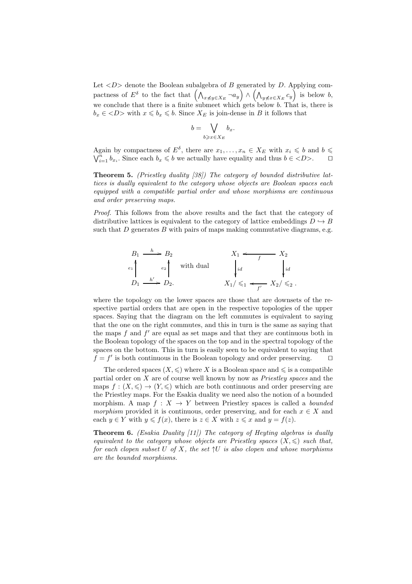Let  $\langle D \rangle$  denote the Boolean subalgebra of B generated by D. Applying compactness of  $E^{\delta}$  to the fact that  $(\bigwedge_{x \neq y \in X_E} \neg a_y) \wedge (\bigwedge_{y \neq x \in X_E} c_y)$  is below b, we conclude that there is a finite submeet which gets below b. That is, there is  $b_x \in \langle D \rangle$  with  $x \leq b_x \leq b$ . Since  $X_E$  is join-dense in B it follows that

$$
b=\bigvee_{b\geqslant x\in X_E}b_x.
$$

Again by compactness of  $E^{\delta}$ , there are  $x_1, \ldots, x_n \in X_E$  with  $x_i \leqslant b$  and  $b \leqslant$  $\bigvee_{i=1}^{n} b_{x_i}$ . Since each  $b_x \leqslant b$  we actually have equality and thus  $b \in \langle D \rangle$ . □

Theorem 5. *(Priestley duality [38]) The category of bounded distributive lattices is dually equivalent to the category whose objects are Boolean spaces each equipped with a compatible partial order and whose morphisms are continuous and order preserving maps.*

*Proof.* This follows from the above results and the fact that the category of distributive lattices is equivalent to the category of lattice embeddings  $D \rightarrow B$ such that D generates B with pairs of maps making commutative diagrams, e.g.

$$
B_1 \xrightarrow{h} B_2
$$
\n
$$
e_1 \uparrow e_2 \uparrow \text{with dual}
$$
\n
$$
D_1 \xrightarrow{h'} D_2.
$$
\n
$$
X_1 \xleftarrow{f} X_2
$$
\n
$$
\downarrow id
$$
\n
$$
M_1 \leq f \leq \downarrow id
$$
\n
$$
X_1 / \leq f \xleftarrow{f'} X_2 / \leq g.
$$

where the topology on the lower spaces are those that are downsets of the respective partial orders that are open in the respective topologies of the upper spaces. Saying that the diagram on the left commutes is equivalent to saying that the one on the right commutes, and this in turn is the same as saying that the maps  $f$  and  $f'$  are equal as set maps and that they are continuous both in the Boolean topology of the spaces on the top and in the spectral topology of the spaces on the bottom. This in turn is easily seen to be equivalent to saying that  $f = f'$  is both continuous in the Boolean topology and order preserving.  $□$ 

The ordered spaces  $(X, \leq)$  where X is a Boolean space and  $\leq$  is a compatible partial order on X are of course well known by now as *Priestley spaces* and the maps  $f : (X, \leqslant) \to (Y, \leqslant)$  which are both continuous and order preserving are the Priestley maps. For the Esakia duality we need also the notion of a bounded morphism. A map  $f: X \to Y$  between Priestley spaces is called a *bounded morphism* provided it is continuous, order preserving, and for each  $x \in X$  and each  $y \in Y$  with  $y \leq f(x)$ , there is  $z \in X$  with  $z \leq x$  and  $y = f(z)$ .

Theorem 6. *(Esakia Duality [11]) The category of Heyting algebras is dually equivalent to the category whose objects are Priestley spaces*  $(X, \leqslant)$  *such that, for each clopen subset* U *of* X*, the set* ↑U *is also clopen and whose morphisms are the bounded morphisms.*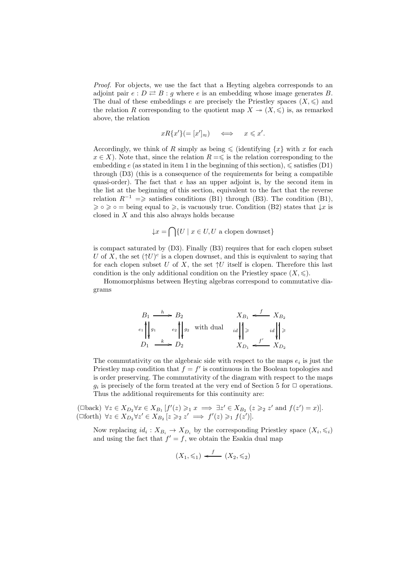*Proof.* For objects, we use the fact that a Heyting algebra corresponds to an adjoint pair  $e : D \rightleftarrows B : g$  where e is an embedding whose image generates B. The dual of these embeddings e are precisely the Priestley spaces  $(X, \leq)$  and the relation R corresponding to the quotient map  $X \to (X, \leq)$  is, as remarked above, the relation

$$
xR\{x'\} (= [x']_{\approx}) \quad \iff \quad x \leqslant x'.
$$

Accordingly, we think of R simply as being  $\leq$  (identifying  $\{x\}$  with x for each  $x \in X$ ). Note that, since the relation  $R = \leq$  is the relation corresponding to the embedding e (as stated in item 1 in the beginning of this section),  $\leq$  satisfies (D1) through (D3) (this is a consequence of the requirements for being a compatible quasi-order). The fact that  $e$  has an upper adjoint is, by the second item in the list at the beginning of this section, equivalent to the fact that the reverse relation  $R^{-1} \implies$  satisfies conditions (B1) through (B3). The condition (B1),  $\geqslant \circ \geqslant \circ =$  being equal to  $\geqslant$ , is vacuously true. Condition (B2) states that  $\downarrow x$  is closed in  $X$  and this also always holds because

$$
\downarrow x = \bigcap \{ U \mid x \in U, U \text{ a clopen downset} \}
$$

is compact saturated by (D3). Finally (B3) requires that for each clopen subset U of X, the set  $(\uparrow U)^c$  is a clopen downset, and this is equivalent to saying that for each clopen subset U of X, the set  $\uparrow U$  itself is clopen. Therefore this last condition is the only additional condition on the Priestley space  $(X, \leqslant)$ .

Homomorphisms between Heyting algebras correspond to commutative diagrams

$$
B_1 \xrightarrow{h} B_2
$$
\n
$$
e_1 \uparrow \qquad g_1 \qquad e_2 \uparrow \qquad g_2 \qquad \text{with dual} \qquad \begin{array}{c} X_{B_1} \leftarrow f \qquad X_{B_2} \\ \downarrow g_2 \qquad \text{with dual} \qquad \begin{array}{c} d \\ d \qquad \end{array} \right) \geq \qquad \begin{array}{c} f \qquad \text{with} \\ \downarrow g_2 \qquad \text{with } \\ X_{B_1} \leftarrow f' \qquad X_{B_2} \end{array}
$$

The commutativity on the algebraic side with respect to the maps  $e_i$  is just the Priestley map condition that  $f = f'$  is continuous in the Boolean topologies and is order preserving. The commutativity of the diagram with respect to the maps  $g_i$  is precisely of the form treated at the very end of Section 5 for  $\Box$  operations. Thus the additional requirements for this continuity are:

 $(\Box$ back)  $\forall z \in X_{D_2} \forall x \in X_{B_1} [f'(z) \geq 1 \ x \implies \exists z' \in X_{B_2} (z \geq 2 \ z' \text{ and } f(z') = x)].$  $(\Box \text{forth}) \ \forall z \in X_{D_2} \forall z' \in X_{B_2} [z \geq z' \implies f'(z) \geq_1 f(z')].$ 

Now replacing  $id_i: X_{B_i} \to X_{D_i}$  by the corresponding Priestley space  $(X_i, \leq_i)$ and using the fact that  $f' = f$ , we obtain the Esakia dual map

$$
(X_1,\leqslant_1)\stackrel{f}{\longleftarrow}(X_2,\leqslant_2)
$$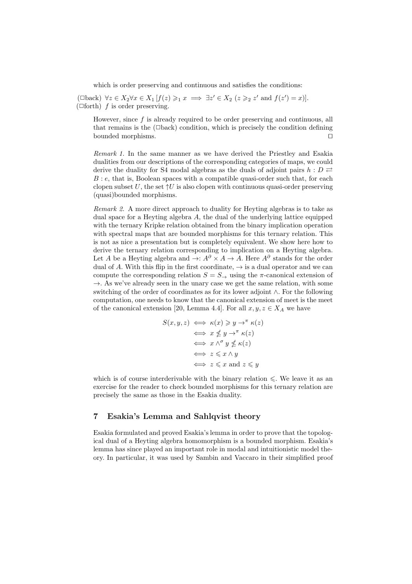which is order preserving and continuous and satisfies the conditions:

 $(\Box$ back)  $\forall z \in X_2 \forall x \in X_1$   $[f(z) \geq 1 \ x \implies \exists z' \in X_2 \ (z \geq 2 \ z' \text{ and } f(z') = x)].$ ( $\Box$ forth) f is order preserving.

However, since  $f$  is already required to be order preserving and continuous, all that remains is the  $(\Box$ back) condition, which is precisely the condition defining bounded morphisms. ⊓⊔

*Remark 1.* In the same manner as we have derived the Priestley and Esakia dualities from our descriptions of the corresponding categories of maps, we could derive the duality for S4 modal algebras as the duals of adjoint pairs  $h : D \rightleftarrows$  $B: e$ , that is, Boolean spaces with a compatible quasi-order such that, for each clopen subset U, the set  $\uparrow U$  is also clopen with continuous quasi-order preserving (quasi)bounded morphisms.

*Remark 2.* A more direct approach to duality for Heyting algebras is to take as dual space for a Heyting algebra A, the dual of the underlying lattice equipped with the ternary Kripke relation obtained from the binary implication operation with spectral maps that are bounded morphisms for this ternary relation. This is not as nice a presentation but is completely equivalent. We show here how to derive the ternary relation corresponding to implication on a Heyting algebra. Let A be a Heyting algebra and  $\rightarrow$ :  $A^{\partial} \times A \rightarrow A$ . Here  $A^{\partial}$  stands for the order dual of A. With this flip in the first coordinate,  $\rightarrow$  is a dual operator and we can compute the corresponding relation  $S = S_{\rightarrow}$  using the  $\pi$ -canonical extension of  $\rightarrow$ . As we've already seen in the unary case we get the same relation, with some switching of the order of coordinates as for its lower adjoint ∧. For the following computation, one needs to know that the canonical extension of meet is the meet of the canonical extension [20, Lemma 4.4]. For all  $x, y, z \in X_A$  we have

$$
S(x, y, z) \iff \kappa(x) \geq y \to^{\pi} \kappa(z)
$$
  

$$
\iff x \nleq y \to^{\pi} \kappa(z)
$$
  

$$
\iff x \wedge^{\sigma} y \nleq \kappa(z)
$$
  

$$
\iff z \leq x \wedge y
$$
  

$$
\iff z \leq x \text{ and } z \leq y
$$

which is of course interderivable with the binary relation  $\leq$ . We leave it as an exercise for the reader to check bounded morphisms for this ternary relation are precisely the same as those in the Esakia duality.

#### 7 Esakia's Lemma and Sahlqvist theory

Esakia formulated and proved Esakia's lemma in order to prove that the topological dual of a Heyting algebra homomorphism is a bounded morphism. Esakia's lemma has since played an important role in modal and intuitionistic model theory. In particular, it was used by Sambin and Vaccaro in their simplified proof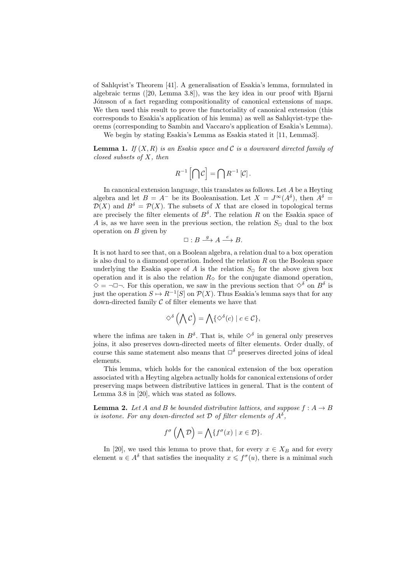of Sahlqvist's Theorem [41]. A generalisation of Esakia's lemma, formulated in algebraic terms ([20, Lemma 3.8]), was the key idea in our proof with Bjarni Jónsson of a fact regarding compositionality of canonical extensions of maps. We then used this result to prove the functoriality of canonical extension (this corresponds to Esakia's application of his lemma) as well as Sahlqvist-type theorems (corresponding to Sambin and Vaccaro's application of Esakia's Lemma).

We begin by stating Esakia's Lemma as Esakia stated it [11, Lemma3].

Lemma 1. *If* (X, R) *is an Esakia space and* C *is a downward directed family of closed subsets of* X*, then*

$$
R^{-1}\left[\bigcap\mathcal{C}\right]=\bigcap R^{-1}\left[\mathcal{C}\right].
$$

In canonical extension language, this translates as follows. Let A be a Heyting algebra and let  $B = A^-$  be its Booleanisation. Let  $X = J^{\infty}(A^{\delta})$ , then  $A^{\delta} =$  $\mathcal{D}(X)$  and  $B^{\delta} = \mathcal{P}(X)$ . The subsets of X that are closed in topological terms are precisely the filter elements of  $B^{\delta}$ . The relation R on the Esakia space of A is, as we have seen in the previous section, the relation  $S_{\Box}$  dual to the box operation on  $B$  given by

$$
\Box: B \stackrel{g}{\longrightarrow} A \stackrel{e}{\longrightarrow} B.
$$

It is not hard to see that, on a Boolean algebra, a relation dual to a box operation is also dual to a diamond operation. Indeed the relation  $R$  on the Boolean space underlying the Esakia space of A is the relation  $S_{\Box}$  for the above given box operation and it is also the relation  $R_{\odot}$  for the conjugate diamond operation,  $\Diamond = \neg \Box \neg$ . For this operation, we saw in the previous section that  $\Diamond^{\delta}$  on  $B^{\delta}$  is just the operation  $S \mapsto R^{-1}[S]$  on  $\mathcal{P}(X)$ . Thus Esakia's lemma says that for any down-directed family  $\mathcal C$  of filter elements we have that

$$
\diamond^{\delta}\left(\bigwedge\mathcal{C}\right) = \bigwedge\{\diamond^{\delta}(c) \mid c \in \mathcal{C}\},\
$$

where the infima are taken in  $B^{\delta}$ . That is, while  $\Diamond^{\delta}$  in general only preserves joins, it also preserves down-directed meets of filter elements. Order dually, of course this same statement also means that  $\Box^{\delta}$  preserves directed joins of ideal elements.

This lemma, which holds for the canonical extension of the box operation associated with a Heyting algebra actually holds for canonical extensions of order preserving maps between distributive lattices in general. That is the content of Lemma 3.8 in [20], which was stated as follows.

**Lemma 2.** Let A and B be bounded distributive lattices, and suppose  $f : A \rightarrow B$ *is isotone. For any down-directed set*  $D$  *of filter elements of*  $A^{\delta}$ *,* 

$$
f^{\sigma}\left(\bigwedge \mathcal{D}\right) = \bigwedge \{f^{\sigma}(x) \mid x \in \mathcal{D}\}.
$$

In [20], we used this lemma to prove that, for every  $x \in X_B$  and for every element  $u \in A^{\delta}$  that satisfies the inequality  $x \leq f^{\sigma}(u)$ , there is a minimal such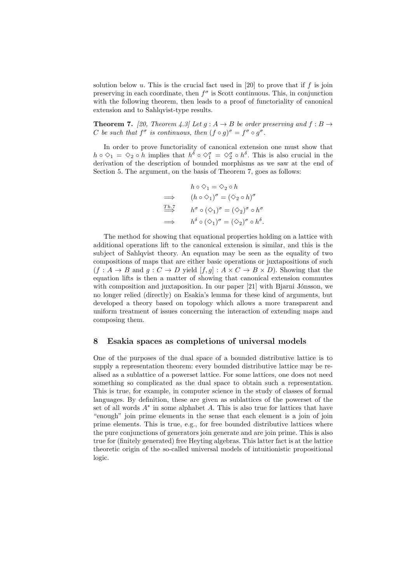solution below u. This is the crucial fact used in  $[20]$  to prove that if f is join preserving in each coordinate, then  $f^{\sigma}$  is Scott continuous. This, in conjunction with the following theorem, then leads to a proof of functoriality of canonical extension and to Sahlqvist-type results.

**Theorem 7.** [20, Theorem 4.3] Let  $g : A \rightarrow B$  be order preserving and  $f : B \rightarrow$ *C* be such that  $f^{\sigma}$  is continuous, then  $(f \circ g)^{\sigma} = f^{\sigma} \circ g^{\sigma}$ .

In order to prove functoriality of canonical extension one must show that  $h \circ \Diamond_1 = \Diamond_2 \circ h$  implies that  $h^{\delta} \circ \Diamond_1^{\sigma} = \Diamond_2^{\sigma} \circ h^{\delta}$ . This is also crucial in the derivation of the description of bounded morphisms as we saw at the end of Section 5. The argument, on the basis of Theorem 7, goes as follows:

$$
h \circ \Diamond_1 = \Diamond_2 \circ h
$$
  
\n
$$
\implies \qquad (h \circ \Diamond_1)^\sigma = (\Diamond_2 \circ h)^\sigma
$$
  
\n
$$
\implies \qquad h^\sigma \circ (\Diamond_1)^\sigma = (\Diamond_2)^\sigma \circ h^\sigma
$$
  
\n
$$
\implies \qquad h^\delta \circ (\Diamond_1)^\sigma = (\Diamond_2)^\sigma \circ h^\delta.
$$

The method for showing that equational properties holding on a lattice with additional operations lift to the canonical extension is similar, and this is the subject of Sahlqvist theory. An equation may be seen as the equality of two compositions of maps that are either basic operations or juxtapositions of such  $(f: A \to B \text{ and } q: C \to D \text{ yield } [f, q]: A \times C \to B \times D$ . Showing that the equation lifts is then a matter of showing that canonical extension commutes with composition and juxtaposition. In our paper  $[21]$  with Bjarni Jónsson, we no longer relied (directly) on Esakia's lemma for these kind of arguments, but developed a theory based on topology which allows a more transparent and uniform treatment of issues concerning the interaction of extending maps and composing them.

#### 8 Esakia spaces as completions of universal models

One of the purposes of the dual space of a bounded distributive lattice is to supply a representation theorem: every bounded distributive lattice may be realised as a sublattice of a powerset lattice. For some lattices, one does not need something so complicated as the dual space to obtain such a representation. This is true, for example, in computer science in the study of classes of formal languages. By definition, these are given as sublattices of the powerset of the set of all words  $A^*$  in some alphabet A. This is also true for lattices that have "enough" join prime elements in the sense that each element is a join of join prime elements. This is true, e.g., for free bounded distributive lattices where the pure conjunctions of generators join generate and are join prime. This is also true for (finitely generated) free Heyting algebras. This latter fact is at the lattice theoretic origin of the so-called universal models of intuitionistic propositional logic.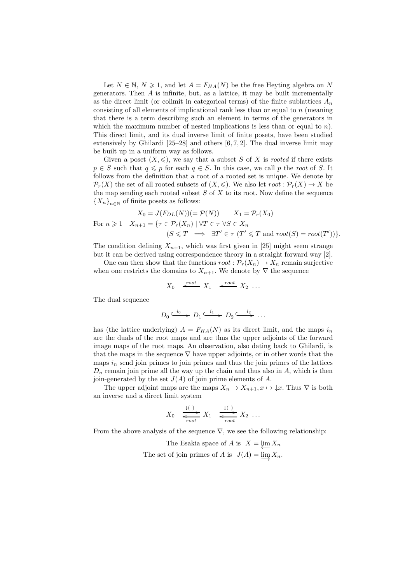Let  $N \in \mathbb{N}, N \geq 1$ , and let  $A = F_{HA}(N)$  be the free Heyting algebra on N generators. Then  $A$  is infinite, but, as a lattice, it may be built incrementally as the direct limit (or colimit in categorical terms) of the finite sublattices  $A_n$ consisting of all elements of implicational rank less than or equal to  $n$  (meaning that there is a term describing such an element in terms of the generators in which the maximum number of nested implications is less than or equal to  $n$ ). This direct limit, and its dual inverse limit of finite posets, have been studied extensively by Ghilardi  $[25-28]$  and others  $[6, 7, 2]$ . The dual inverse limit may be built up in a uniform way as follows.

Given a poset  $(X, \leqslant)$ , we say that a subset S of X is *rooted* if there exists  $p \in S$  such that  $q \leq p$  for each  $q \in S$ . In this case, we call p the *root* of S. It follows from the definition that a root of a rooted set is unique. We denote by  $\mathcal{P}_r(X)$  the set of all rooted subsets of  $(X,\leqslant)$ . We also let  $root: \mathcal{P}_r(X) \to X$  be the map sending each rooted subset  $S$  of  $X$  to its root. Now define the sequence  ${X_n}_{n\in\mathbb{N}}$  of finite posets as follows:

$$
X_0 = J(F_{DL}(N)) (= \mathcal{P}(N)) \qquad X_1 = \mathcal{P}_r(X_0)
$$
  
For  $n \ge 1$   $X_{n+1} = \{ \tau \in \mathcal{P}_r(X_n) \mid \forall T \in \tau \ \forall S \in X_n$   

$$
(S \le T \implies \exists T' \in \tau \ (T' \le T \text{ and } root(S) = root(T')) \}.
$$

The condition defining  $X_{n+1}$ , which was first given in [25] might seem strange but it can be derived using correspondence theory in a straight forward way [2].

One can then show that the functions  $root : \mathcal{P}_r(X_n) \to X_n$  remain surjective when one restricts the domains to  $X_{n+1}$ . We denote by  $\nabla$  the sequence

$$
X_0 \xrightarrow{root} X_1 \xrightarrow{root} X_2 \dots
$$

The dual sequence

$$
D_0 \xrightarrow{i_0} D_1 \xrightarrow{i_1} D_2 \xrightarrow{i_2} \dots
$$

has (the lattice underlying)  $A = F_{HA}(N)$  as its direct limit, and the maps  $i_n$ are the duals of the root maps and are thus the upper adjoints of the forward image maps of the root maps. An observation, also dating back to Ghilardi, is that the maps in the sequence  $\nabla$  have upper adjoints, or in other words that the maps  $i_n$  send join primes to join primes and thus the join primes of the lattices  $D_n$  remain join prime all the way up the chain and thus also in A, which is then join-generated by the set  $J(A)$  of join prime elements of A.

The upper adjoint maps are the maps  $X_n \to X_{n+1}, x \mapsto \downarrow x$ . Thus  $\nabla$  is both an inverse and a direct limit system

$$
X_0 \xrightarrow[\text{root}]{\downarrow(.)} X_1 \xrightarrow[\text{root}]{\downarrow(.)} X_2 \dots
$$

From the above analysis of the sequence  $\nabla$ , we see the following relationship:

The Esakia space of A is  $X = \varprojlim X_n$ The set of join primes of A is  $J(A) = \varinjlim X_n$ .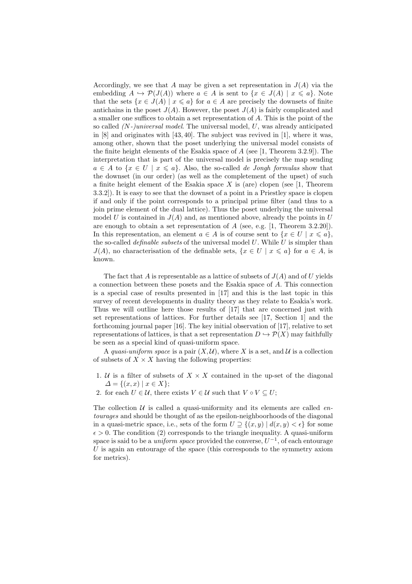Accordingly, we see that A may be given a set representation in  $J(A)$  via the embedding  $A \hookrightarrow \mathcal{P}(J(A))$  where  $a \in A$  is sent to  $\{x \in J(A) \mid x \leq a\}$ . Note that the sets  $\{x \in J(A) \mid x \leq a\}$  for  $a \in A$  are precisely the downsets of finite antichains in the poset  $J(A)$ . However, the poset  $J(A)$  is fairly complicated and a smaller one suffices to obtain a set representation of A. This is the point of the so called *(*N*-)universal model*. The universal model, U, was already anticipated in [8] and originates with [43, 40]. The subject was revived in [1], where it was, among other, shown that the poset underlying the universal model consists of the finite height elements of the Esakia space of  $A$  (see [1, Theorem 3.2.9]). The interpretation that is part of the universal model is precisely the map sending  $a \in A$  to  $\{x \in U \mid x \leq a\}$ . Also, the so-called *de Jongh formulas* show that the downset (in our order) (as well as the completement of the upset) of such a finite height element of the Esakia space  $X$  is (are) clopen (see [1, Theorem 3.3.2]). It is easy to see that the downset of a point in a Priestley space is clopen if and only if the point corresponds to a principal prime filter (and thus to a join prime element of the dual lattice). Thus the poset underlying the universal model U is contained in  $J(A)$  and, as mentioned above, already the points in U are enough to obtain a set representation of A (see, e.g. [1, Theorem 3.2.20]). In this representation, an element  $a \in A$  is of course sent to  $\{x \in U \mid x \leq a\},\$ the so-called *definable subsets* of the universal model U. While U is simpler than  $J(A)$ , no characterisation of the definable sets,  $\{x \in U \mid x \leq a\}$  for  $a \in A$ , is known.

The fact that A is representable as a lattice of subsets of  $J(A)$  and of U yields a connection between these posets and the Esakia space of A. This connection is a special case of results presented in [17] and this is the last topic in this survey of recent developments in duality theory as they relate to Esakia's work. Thus we will outline here those results of [17] that are concerned just with set representations of lattices. For further details see [17, Section 1] and the forthcoming journal paper [16]. The key initial observation of [17], relative to set representations of lattices, is that a set representation  $D \hookrightarrow \mathcal{P}(X)$  may faithfully be seen as a special kind of quasi-uniform space.

A *quasi-uniform space* is a pair  $(X, \mathcal{U})$ , where X is a set, and U is a collection of subsets of  $X \times X$  having the following properties:

- 1. *U* is a filter of subsets of  $X \times X$  contained in the up-set of the diagonal  $\Delta = \{(x, x) \mid x \in X\};$
- 2. for each  $U \in \mathcal{U}$ , there exists  $V \in \mathcal{U}$  such that  $V \circ V \subseteq U$ ;

The collection  $U$  is called a quasi-uniformity and its elements are called  $en$ *tourages* and should be thought of as the epsilon-neighboorhoods of the diagonal in a quasi-metric space, i.e., sets of the form  $U \supseteq \{(x, y) | d(x, y) < \epsilon\}$  for some  $\epsilon > 0$ . The condition (2) corresponds to the triangle inequality. A quasi-uniform space is said to be a *uniform space* provided the converse,  $U^{-1}$ , of each entourage U is again an entourage of the space (this corresponds to the symmetry axiom for metrics).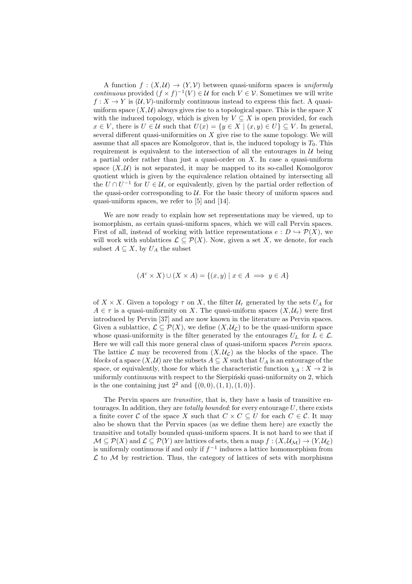A function  $f: (X, \mathcal{U}) \to (Y, \mathcal{V})$  between quasi-uniform spaces is *uniformly continuous* provided  $(f \times f)^{-1}(V) \in \mathcal{U}$  for each  $V \in \mathcal{V}$ . Sometimes we will write  $f: X \to Y$  is  $(\mathcal{U}, \mathcal{V})$ -uniformly continuous instead to express this fact. A quasiuniform space  $(X, \mathcal{U})$  always gives rise to a topological space. This is the space X with the induced topology, which is given by  $V \subseteq X$  is open provided, for each  $x \in V$ , there is  $U \in \mathcal{U}$  such that  $U(x) = \{y \in X \mid (x, y) \in U\} \subseteq V$ . In general, several different quasi-uniformities on  $X$  give rise to the same topology. We will assume that all spaces are Komolgorov, that is, the induced topology is  $T_0$ . This requirement is equivalent to the intersection of all the entourages in  $U$  being a partial order rather than just a quasi-order on  $X$ . In case a quasi-uniform space  $(X, \mathcal{U})$  is not separated, it may be mapped to its so-called Komolgorov quotient which is given by the equivalence relation obtained by intersecting all the  $U \cap U^{-1}$  for  $U \in \mathcal{U}$ , or equivalently, given by the partial order reflection of the quasi-order corresponding to  $U$ . For the basic theory of uniform spaces and quasi-uniform spaces, we refer to [5] and [14].

We are now ready to explain how set representations may be viewed, up to isomorphism, as certain quasi-uniform spaces, which we will call Pervin spaces. First of all, instead of working with lattice representations  $e : D \hookrightarrow \mathcal{P}(X)$ , we will work with sublattices  $\mathcal{L} \subseteq \mathcal{P}(X)$ . Now, given a set X, we denote, for each subset  $A \subseteq X$ , by  $U_A$  the subset

$$
(A^c \times X) \cup (X \times A) = \{(x, y) \mid x \in A \implies y \in A\}
$$

of  $X \times X$ . Given a topology  $\tau$  on X, the filter  $\mathcal{U}_{\tau}$  generated by the sets  $U_A$  for  $A \in \tau$  is a quasi-uniformity on X. The quasi-uniform spaces  $(X, \mathcal{U}_{\tau})$  were first introduced by Pervin [37] and are now known in the literature as Pervin spaces. Given a sublattice,  $\mathcal{L} \subseteq \mathcal{P}(X)$ , we define  $(X, \mathcal{U}_{\mathcal{L}})$  to be the quasi-uniform space whose quasi-uniformity is the filter generated by the entourages  $U_L$  for  $L \in \mathcal{L}$ . Here we will call this more general class of quasi-uniform spaces *Pervin spaces*. The lattice  $\mathcal L$  may be recovered from  $(X, \mathcal U_{\mathcal L})$  as the blocks of the space. The *blocks* of a space  $(X, \mathcal{U})$  are the subsets  $A \subseteq X$  such that  $U_A$  is an entourage of the space, or equivalently, those for which the characteristic function  $\chi_A : X \to 2$  is uniformly continuous with respect to the Sierpinski quasi-uniformity on 2, which is the one containing just  $2^2$  and  $\{(0,0), (1, 1), (1, 0)\}.$ 

The Pervin spaces are *transitive*, that is, they have a basis of transitive entourages. In addition, they are *totally bounded*: for every entourage U, there exists a finite cover C of the space X such that  $C \times C \subseteq U$  for each  $C \in \mathcal{C}$ . It may also be shown that the Pervin spaces (as we define them here) are exactly the transitive and totally bounded quasi-uniform spaces. It is not hard to see that if  $\mathcal{M} \subseteq \mathcal{P}(X)$  and  $\mathcal{L} \subseteq \mathcal{P}(Y)$  are lattices of sets, then a map  $f : (X, \mathcal{U}_{\mathcal{M}}) \to (Y, \mathcal{U}_{\mathcal{L}})$ is uniformly continuous if and only if  $f^{-1}$  induces a lattice homomorphism from  $\mathcal L$  to  $\mathcal M$  by restriction. Thus, the category of lattices of sets with morphisms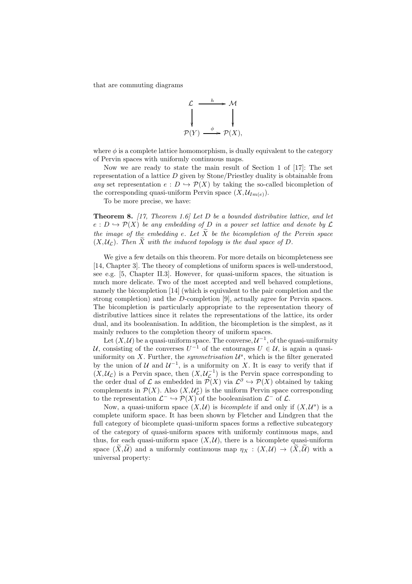that are commuting diagrams

$$
\begin{array}{ccc}\n\mathcal{L} & \xrightarrow{h} & \mathcal{M} \\
\downarrow & & \downarrow \\
\mathcal{P}(Y) & \xrightarrow{\phi} & \mathcal{P}(X),\n\end{array}
$$

where  $\phi$  is a complete lattice homomorphism, is dually equivalent to the category of Pervin spaces with uniformly continuous maps.

Now we are ready to state the main result of Section 1 of [17]: The set representation of a lattice  $D$  given by Stone/Priestley duality is obtainable from *any* set representation  $e: D \hookrightarrow \mathcal{P}(X)$  by taking the so-called bicompletion of the corresponding quasi-uniform Pervin space  $(X, \mathcal{U}_{Im(e)})$ .

To be more precise, we have:

Theorem 8. *[17, Theorem 1.6] Let* D *be a bounded distributive lattice, and let*  $e : D \hookrightarrow \mathcal{P}(X)$  *be any embedding of* D *in a power set lattice and denote by*  $\mathcal{L}$ *the image of the embedding e. Let*  $\widetilde{X}$  *be the bicompletion of the Pervin space*  $(X, \mathcal{U}_{\mathcal{L}})$ . Then  $\widetilde{X}$  with the induced topology is the dual space of D.

We give a few details on this theorem. For more details on bicompleteness see [14, Chapter 3]. The theory of completions of uniform spaces is well-understood, see e.g. [5, Chapter II.3]. However, for quasi-uniform spaces, the situation is much more delicate. Two of the most accepted and well behaved completions, namely the bicompletion [14] (which is equivalent to the pair completion and the strong completion) and the D-completion [9], actually agree for Pervin spaces. The bicompletion is particularly appropriate to the representation theory of distributive lattices since it relates the representations of the lattice, its order dual, and its booleanisation. In addition, the bicompletion is the simplest, as it mainly reduces to the completion theory of uniform spaces.

Let  $(X, \mathcal{U})$  be a quasi-uniform space. The converse,  $\mathcal{U}^{-1}$ , of the quasi-uniformity U, consisting of the converses  $U^{-1}$  of the entourages  $U \in \mathcal{U}$ , is again a quasiuniformity on  $X$ . Further, the *symmetrisation*  $\mathcal{U}^s$ , which is the filter generated by the union of  $U$  and  $U^{-1}$ , is a uniformity on X. It is easy to verify that if  $(X,\mathcal{U}_{\mathcal{L}})$  is a Pervin space, then  $(X,\mathcal{U}_{\mathcal{L}}^{-1})$  is the Pervin space corresponding to the order dual of L as embedded in  $\mathcal{P}(X)$  via  $\mathcal{L}^{\partial} \hookrightarrow \mathcal{P}(X)$  obtained by taking complements in  $\mathcal{P}(X)$ . Also  $(X, \mathcal{U}_{\mathcal{L}}^s)$  is the uniform Pervin space corresponding to the representation  $\mathcal{L}^- \hookrightarrow \mathcal{P}(X)$  of the booleanisation  $\mathcal{L}^-$  of  $\mathcal{L}$ .

Now, a quasi-uniform space  $(X, \mathcal{U})$  is *bicomplete* if and only if  $(X, \mathcal{U}^s)$  is a complete uniform space. It has been shown by Fletcher and Lindgren that the full category of bicomplete quasi-uniform spaces forms a reflective subcategory of the category of quasi-uniform spaces with uniformly continuous maps, and thus, for each quasi-uniform space  $(X, \mathcal{U})$ , there is a bicomplete quasi-uniform space  $(X, \mathcal{U})$  and a uniformly continuous map  $\eta_X : (X, \mathcal{U}) \to (X, \mathcal{U})$  with a universal property: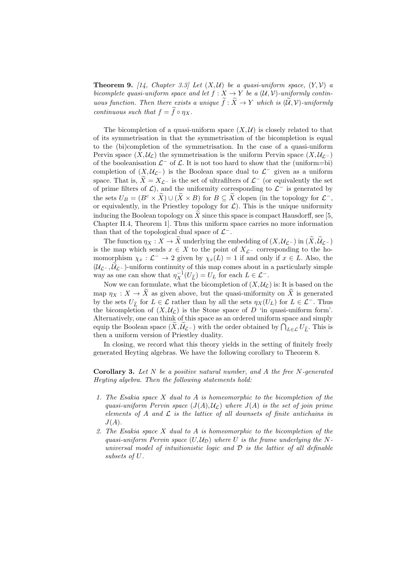**Theorem 9.** [14, Chapter 3.3] Let  $(X, \mathcal{U})$  be a quasi-uniform space,  $(Y, \mathcal{V})$  a *bicomplete quasi-uniform space and let*  $f : X \to Y$  *be a*  $(\mathcal{U}, \mathcal{V})$ *-uniformly continuous function. Then there exists a unique*  $\widetilde{f}: \widetilde{X} \to Y$  *which is*  $(\widetilde{\mathcal{U}}, \mathcal{V})$ *-uniformly continuous such that*  $f = \tilde{f} \circ \eta_X$ .

The bicompletion of a quasi-uniform space  $(X, \mathcal{U})$  is closely related to that of its symmetrisation in that the symmetrisation of the bicompletion is equal to the (bi)completion of the symmetrisation. In the case of a quasi-uniform Pervin space  $(X, \mathcal{U}_{\mathcal{L}})$  the symmetrisation is the uniform Pervin space  $(X, \mathcal{U}_{\mathcal{L}})$ of the booleanisation  $\mathcal{L}^-$  of  $\mathcal{L}$ . It is not too hard to show that the (uniform=bi) completion of  $(X, \mathcal{U}_{\mathcal{L}^-})$  is the Boolean space dual to  $\mathcal{L}^-$  given as a uniform space. That is,  $\bar{X} = X_{\mathcal{L}^-}$  is the set of ultrafilters of  $\mathcal{L}^-$  (or equivalently the set of prime filters of  $\mathcal{L}$ ), and the uniformity corresponding to  $\mathcal{L}^-$  is generated by the sets  $U_B = (B^c \times \tilde{X}) \cup (\tilde{X} \times B)$  for  $B \subseteq \tilde{X}$  clopen (in the topology for  $\mathcal{L}^-$ , or equivalently, in the Priestley topology for  $\mathcal{L}$ ). This is the unique uniformity inducing the Boolean topology on  $X$  since this space is compact Hausdorff, see [5, Chapter II.4, Theorem 1]. Thus this uniform space carries no more information than that of the topological dual space of  $\mathcal{L}^-$ .

The function  $\eta_X : X \to X$  underlying the embedding of  $(X, \mathcal{U}_{\mathcal{L}^-})$  in  $(X, \mathcal{U}_{\mathcal{L}^-})$ is the map which sends  $x \in X$  to the point of  $X_{\mathcal{L}^-}$  corresponding to the homomorphism  $\chi_x : \mathcal{L}^- \to 2$  given by  $\chi_x(L) = 1$  if and only if  $x \in L$ . Also, the  $(\mathcal{U}_{\mathcal{L}^-}, \mathcal{U}_{\mathcal{L}^-})$ -uniform continuity of this map comes about in a particularly simple way as one can show that  $\eta_X^{-1}(U_{\hat{L}}) = U_L$  for each  $L \in \mathcal{L}^-$ .

Now we can formulate, what the bicompletion of  $(X, \mathcal{U}_{\mathcal{L}})$  is: It is based on the map  $\eta_X : X \to \overline{X}$  as given above, but the quasi-uniformity on  $\overline{X}$  is generated by the sets  $U_{\widehat{L}}$  for  $L \in \mathcal{L}$  rather than by all the sets  $\eta_X(U_L)$  for  $L \in \mathcal{L}^-$ . Thus the bicompletion of  $(X, \mathcal{U}_\mathcal{L})$  is the Stone space of D 'in quasi-uniform form'. Alternatively, one can think of this space as an ordered uniform space and simply equip the Boolean space  $(\tilde{X}, \tilde{\mathcal{U}}_{\mathcal{L}^-})$  with the order obtained by  $\bigcap_{L\in\mathcal{L}}U_{\hat{L}}$ . This is then a uniform version of Priestley duality.

In closing, we record what this theory yields in the setting of finitely freely generated Heyting algebras. We have the following corollary to Theorem 8.

Corollary 3. *Let* N *be a positive natural number, and* A *the free* N*-generated Heyting algebra. Then the following statements hold:*

- *1. The Esakia space* X *dual to* A *is homeomorphic to the bicompletion of the quasi-uniform Pervin space*  $(J(A), \mathcal{U}_\mathcal{L})$  *where*  $J(A)$  *is the set of join prime elements of* A *and* L *is the lattice of all downsets of finite antichains in*  $J(A)$ .
- *2. The Esakia space* X *dual to* A *is homeomorphic to the bicompletion of the quasi-uniform Pervin space*  $(U, U<sub>D</sub>)$  where U is the frame underlying the N*universal model of intuitionistic logic and* D *is the lattice of all definable subsets of* U*.*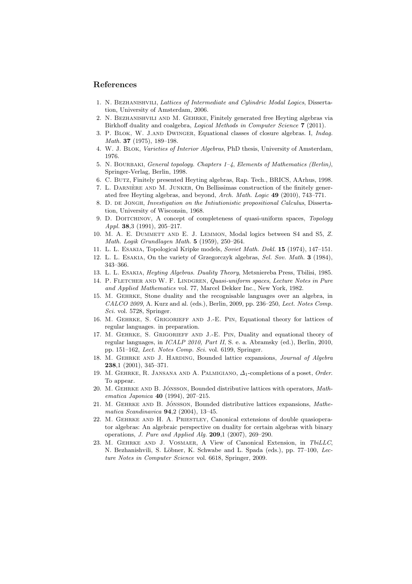# References

- 1. N. Bezhanishvili, Lattices of Intermediate and Cylindric Modal Logics, Dissertation, University of Amsterdam, 2006.
- 2. N. Bezhanishvili and M. Gehrke, Finitely generated free Heyting algebras via Birkhoff duality and coalgebra, Logical Methods in Computer Science 7 (2011).
- 3. P. Blok, W. J.and Dwinger, Equational classes of closure algebras. I, Indag. Math. 37 (1975), 189–198.
- 4. W. J. Blok, Varieties of Interior Algebras, PhD thesis, University of Amsterdam, 1976.
- 5. N. Bourbaki, General topology. Chapters 1–4, Elements of Mathematics (Berlin), Springer-Verlag, Berlin, 1998.
- 6. C. Butz, Finitely presented Heyting algebras, Rap. Tech., BRICS, AArhus, 1998.
- 7. L. DARNIÈRE AND M. JUNKER, On Bellissimas construction of the finitely generated free Heyting algebras, and beyond, Arch. Math. Logic 49 (2010), 743–771.
- 8. D. DE JONGH, *Investigation on the Intiutionistic propositional Calculus*, Dissertation, University of Wisconsin, 1968.
- 9. D. Doitchinov, A concept of completeness of quasi-uniform spaces, Topology Appl. 38,3 (1991), 205–217.
- 10. M. A. E. Dummett and E. J. Lemmon, Modal logics between S4 and S5, Z. Math. Logik Grundlagen Math. 5 (1959), 250–264.
- 11. L. L. Esakia, Topological Kripke models, Soviet Math. Dokl. 15 (1974), 147–151.
- 12. L. L. Esakia, On the variety of Grzegorczyk algebras, Sel. Sov. Math. 3 (1984), 343–366.
- 13. L. L. Esakia, Heyting Algebras. Duality Theory, Metsniereba Press, Tbilisi, 1985.
- 14. P. FLETCHER AND W. F. LINDGREN, Quasi-uniform spaces, Lecture Notes in Pure and Applied Mathematics vol. 77, Marcel Dekker Inc., New York, 1982.
- 15. M. Gehrke, Stone duality and the recognisable languages over an algebra, in  $CALCO 2009$ , A. Kurz and al. (eds.), Berlin, 2009, pp. 236–250, Lect. Notes Comp. Sci. vol. 5728, Springer.
- 16. M. Gehrke, S. Grigorieff and J.-E. Pin, Equational theory for lattices of regular languages. in preparation.
- 17. M. Gehrke, S. Grigorieff and J.-E. Pin, Duality and equational theory of regular languages, in ICALP 2010, Part II, S. e. a. Abramsky (ed.), Berlin, 2010, pp. 151–162, Lect. Notes Comp. Sci. vol. 6199, Springer.
- 18. M. GEHRKE AND J. HARDING, Bounded lattice expansions, Journal of Algebra 238,1 (2001), 345–371.
- 19. M. Gehrke, R. Jansana and A. Palmigiano, ∆1-completions of a poset, Order. To appear.
- 20. M. GEHRKE AND B. JÓNSSON, Bounded distributive lattices with operators, Mathematica Japonica 40 (1994), 207-215.
- 21. M. GEHRKE AND B. JÓNSSON, Bounded distributive lattices expansions, Mathematica Scandinavica 94,2 (2004), 13–45.
- 22. M. Gehrke and H. A. Priestley, Canonical extensions of double quasioperator algebras: An algebraic perspective on duality for certain algebras with binary operations, J. Pure and Applied Alg. 209,1 (2007), 269–290.
- 23. M. Gehrke and J. Vosmaer, A View of Canonical Extension, in TbiLLC, N. Bezhanishvili, S. Löbner, K. Schwabe and L. Spada (eds.), pp. 77-100, Lecture Notes in Computer Science vol. 6618, Springer, 2009.